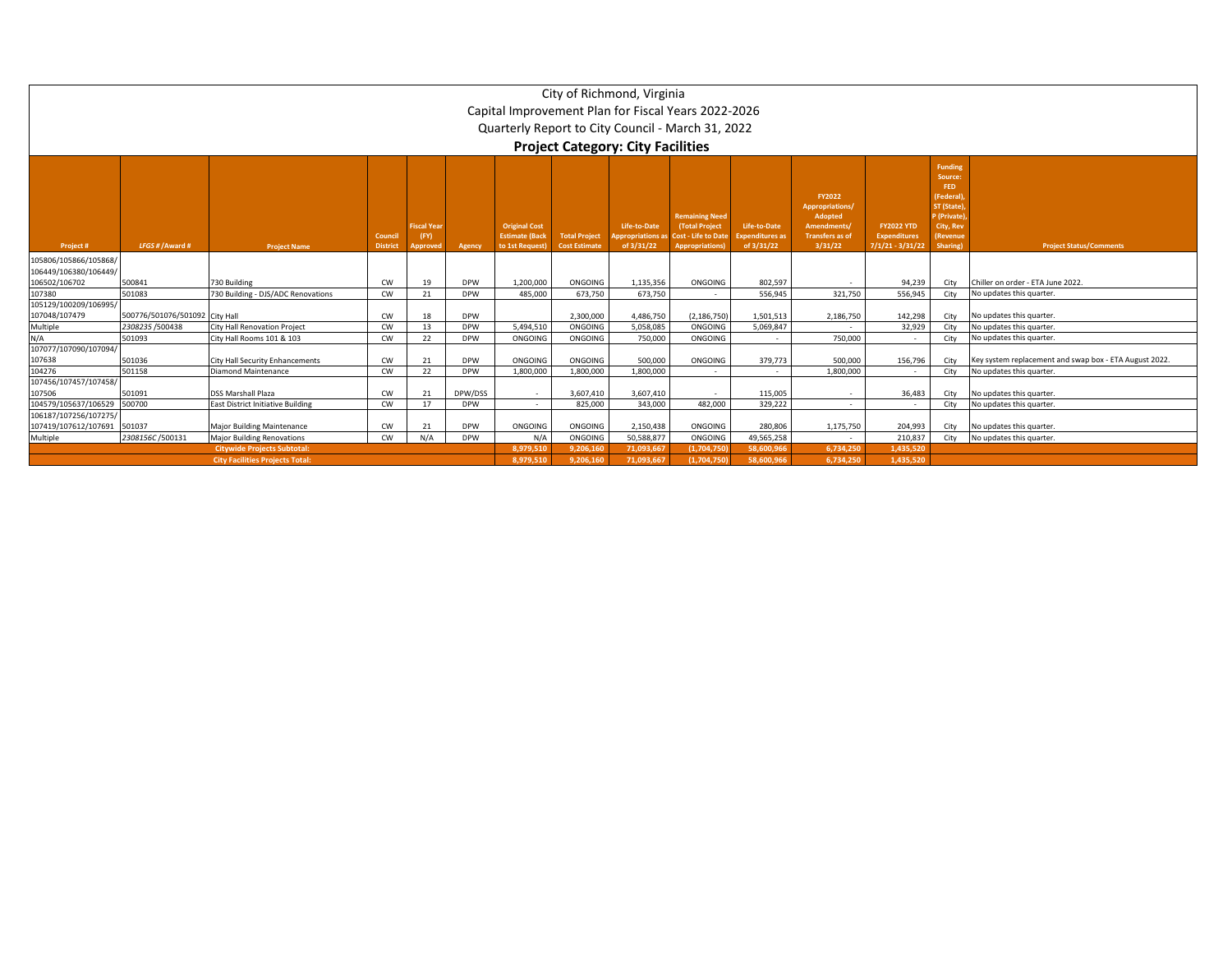|                                               |                                |                                          |                           |                                |            |                                                                  |                                              | City of Richmond, Virginia<br>Capital Improvement Plan for Fiscal Years 2022-2026<br>Quarterly Report to City Council - March 31, 2022<br><b>Project Category: City Facilities</b> |                                                                                                |                                                      |                                                                                                 |                                                                |                                                                                                                 |                                                        |
|-----------------------------------------------|--------------------------------|------------------------------------------|---------------------------|--------------------------------|------------|------------------------------------------------------------------|----------------------------------------------|------------------------------------------------------------------------------------------------------------------------------------------------------------------------------------|------------------------------------------------------------------------------------------------|------------------------------------------------------|-------------------------------------------------------------------------------------------------|----------------------------------------------------------------|-----------------------------------------------------------------------------------------------------------------|--------------------------------------------------------|
| Project#                                      | LFGS #/Award #                 | <b>Project Name</b>                      | Counci<br><b>District</b> | Fiscal Yea<br>(FY)<br>Approver | Agency     | <b>Original Cost</b><br><b>Estimate (Back</b><br>to 1st Request) | <b>Total Project</b><br><b>Cost Estimate</b> | Life-to-Date<br>ppropriations as<br>of 3/31/22                                                                                                                                     | <b>Remaining Need</b><br>(Total Project<br><b>Cost - Life to Date</b><br><b>Appropriations</b> | Life-to-Date<br><b>Expenditures as</b><br>of 3/31/22 | <b>FY2022</b><br>Appropriations/<br>Adopted<br>Amendments/<br><b>Transfers as of</b><br>3/31/22 | <b>FY2022 YTD</b><br><b>Expenditures</b><br>$7/1/21 - 3/31/22$ | <b>Funding</b><br>Source:<br>FED<br>(Federal)<br>ST (State)<br>P (Private)<br>City, Rev<br>(Revenue<br>Sharing) | <b>Project Status/Comments</b>                         |
| 105806/105866/105868/                         |                                |                                          |                           |                                |            |                                                                  |                                              |                                                                                                                                                                                    |                                                                                                |                                                      |                                                                                                 |                                                                |                                                                                                                 |                                                        |
| 106449/106380/106449/                         |                                |                                          |                           |                                |            |                                                                  |                                              |                                                                                                                                                                                    |                                                                                                |                                                      |                                                                                                 |                                                                |                                                                                                                 |                                                        |
| 106502/106702                                 | 500841                         | 730 Building                             | CW                        | 19                             | <b>DPW</b> | 1,200,000                                                        | ONGOING                                      | 1,135,356                                                                                                                                                                          | ONGOING                                                                                        | 802,597                                              |                                                                                                 | 94,239                                                         | City                                                                                                            | Chiller on order - ETA June 2022.                      |
| 107380                                        | 501083                         | 730 Building - DJS/ADC Renovations       | CW                        | 21                             | <b>DPW</b> | 485,000                                                          | 673,750                                      | 673,750                                                                                                                                                                            |                                                                                                | 556,945                                              | 321,750                                                                                         | 556,945                                                        | City                                                                                                            | No updates this quarter.                               |
| 105129/100209/106995/<br>107048/107479        | 500776/501076/501092 City Hall |                                          | CW                        | 18                             | <b>DPW</b> |                                                                  | 2,300,000                                    | 4,486,750                                                                                                                                                                          | (2, 186, 750)                                                                                  | 1,501,513                                            | 2,186,750                                                                                       | 142,298                                                        | City                                                                                                            | No updates this quarter.                               |
| Multiple                                      | 2308235/500438                 | <b>City Hall Renovation Project</b>      | <b>CW</b>                 | 13                             | <b>DPW</b> | 5,494,510                                                        | ONGOING                                      | 5,058,085                                                                                                                                                                          | ONGOING                                                                                        | 5,069,847                                            |                                                                                                 | 32,929                                                         | City                                                                                                            | No updates this quarter.                               |
| N/A                                           | 501093                         | City Hall Rooms 101 & 103                | <b>CW</b>                 | 22                             | <b>DPW</b> | ONGOING                                                          | ONGOING                                      | 750,000                                                                                                                                                                            | ONGOING                                                                                        |                                                      | 750,000                                                                                         |                                                                | City                                                                                                            | No updates this quarter.                               |
| 107077/107090/107094/<br>107638               | 501036                         | <b>City Hall Security Enhancements</b>   | CW                        | 21                             | <b>DPW</b> | ONGOING                                                          | ONGOING                                      | 500,000                                                                                                                                                                            | ONGOING                                                                                        | 379,773                                              | 500,000                                                                                         | 156,796                                                        | City                                                                                                            | Key system replacement and swap box - ETA August 2022. |
| 104276                                        | 501158                         | <b>Diamond Maintenance</b>               | CW                        | 22                             | <b>DPW</b> | 1,800,000                                                        | 1,800,000                                    | 1,800,000                                                                                                                                                                          |                                                                                                |                                                      | 1,800,000                                                                                       | $\sim$                                                         | City                                                                                                            | No updates this quarter.                               |
| 107456/107457/107458/<br>107506               | 501091                         | <b>DSS Marshall Plaza</b>                | CW                        | 21                             | DPW/DSS    | $\sim$                                                           | 3,607,410                                    | 3,607,410                                                                                                                                                                          |                                                                                                | 115,005                                              | $\overline{a}$                                                                                  | 36,483                                                         | City                                                                                                            | No updates this quarter.                               |
| 104579/105637/106529 500700                   |                                | <b>East District Initiative Building</b> | <b>CW</b>                 | 17                             | <b>DPW</b> | $\sim$                                                           | 825.000                                      | 343,000                                                                                                                                                                            | 482,000                                                                                        | 329.222                                              | $\overline{\phantom{a}}$                                                                        |                                                                | City                                                                                                            | No updates this quarter.                               |
| 106187/107256/107275/<br>107419/107612/107691 | 501037                         | <b>Major Building Maintenance</b>        | <b>CW</b>                 | 21                             | <b>DPW</b> | ONGOING                                                          | ONGOING                                      | 2,150,438                                                                                                                                                                          | ONGOING                                                                                        | 280,806                                              | 1,175,750                                                                                       | 204,993                                                        | City                                                                                                            | No updates this quarter.                               |
| Multiple                                      | 2308156C/500131                | <b>Major Building Renovations</b>        | CW                        | N/A                            | <b>DPW</b> | N/A                                                              | ONGOING                                      | 50,588,877                                                                                                                                                                         | ONGOING                                                                                        | 49,565,258                                           | $\sim$                                                                                          | 210,837                                                        | City                                                                                                            | No updates this quarter.                               |
|                                               |                                | <b>Citywide Projects Subtotal:</b>       |                           |                                |            | 8,979,510                                                        | 9,206,160                                    | 71,093,667                                                                                                                                                                         | (1.704.750)                                                                                    | 58,600,966                                           | 6,734,250                                                                                       | 1,435,520                                                      |                                                                                                                 |                                                        |
|                                               |                                | <b>City Facilities Projects Total:</b>   |                           | 8,979,510                      | 9.206.160  | 71,093,667                                                       | (1.704.750)                                  | 58.600.96                                                                                                                                                                          | 6.734.250                                                                                      | 1,435,520                                            |                                                                                                 |                                                                |                                                                                                                 |                                                        |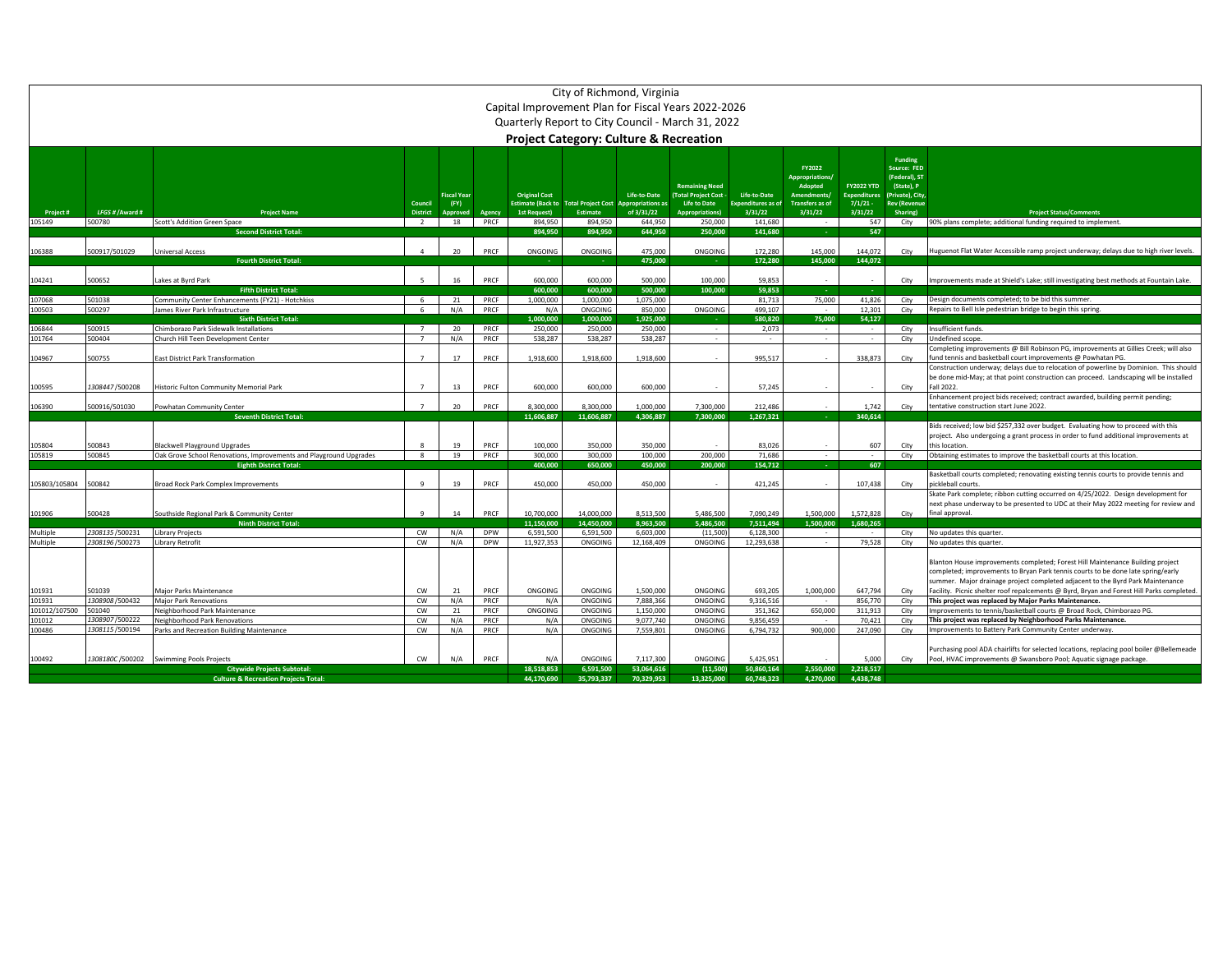|                      |                                                               |                                                                    |                 |                            |            |                          | City of Richmond, Virginia |                                          | Capital Improvement Plan for Fiscal Years 2022-2026<br>Quarterly Report to City Council - March 31, 2022<br><b>Project Category: Culture &amp; Recreation</b> |                                          |                                                                  |                                         |                                                       |                                                                                                                                                      |
|----------------------|---------------------------------------------------------------|--------------------------------------------------------------------|-----------------|----------------------------|------------|--------------------------|----------------------------|------------------------------------------|---------------------------------------------------------------------------------------------------------------------------------------------------------------|------------------------------------------|------------------------------------------------------------------|-----------------------------------------|-------------------------------------------------------|------------------------------------------------------------------------------------------------------------------------------------------------------|
|                      |                                                               |                                                                    |                 |                            |            | <b>Original Cost</b>     |                            |                                          | <b>Remaining Need</b><br><b>Total Project Cost</b>                                                                                                            |                                          | FY2022<br><b>Appropriations/</b><br>Adopted<br><b>Amendments</b> | <b>FY2022 YTD</b><br><b>Expenditure</b> | Funding<br>Source: FED<br>(Federal), ST<br>(State), P |                                                                                                                                                      |
|                      |                                                               |                                                                    | Council         | <b>Fiscal Year</b><br>(FY) |            | <b>Estimate (Back to</b> | <b>Total Project Cost</b>  | Life-to-Date<br><b>Appropriations as</b> | <b>Life to Date</b>                                                                                                                                           | Life-to-Date<br><b>Expenditures as o</b> | <b>Transfers as of</b>                                           | 7/1/21                                  | (Private), City<br><b>Rev (Revenue</b>                |                                                                                                                                                      |
| Project#             | LFGS # / Award #                                              | <b>Project Name</b>                                                | <b>District</b> | Approved                   | Agency     | <b>1st Request)</b>      | <b>Estimate</b>            | of 3/31/22                               | <b>Appropriations)</b>                                                                                                                                        | 3/31/22                                  | 3/31/22                                                          | 3/31/22                                 | Sharing)                                              | <b>Project Status/Comments</b>                                                                                                                       |
| 105149               | 500780                                                        | Scott's Addition Green Space<br><b>Second District Total</b>       | $\overline{2}$  | 18                         | PRCF       | 894,950<br>894.950       | 894,950<br>894,950         | 644,950<br>644,950                       | 250,000<br>250,000                                                                                                                                            | 141,680<br>141.680                       |                                                                  | 547<br>547                              | City                                                  | 90% plans complete; additional funding required to implement.                                                                                        |
|                      |                                                               |                                                                    |                 |                            |            |                          |                            |                                          |                                                                                                                                                               |                                          |                                                                  |                                         |                                                       |                                                                                                                                                      |
| 106388               | 500917/501029                                                 | <b>Universal Access</b>                                            | $\Delta$        | 20                         | PRCF       | <b>ONGOING</b>           | ONGOING                    | 475,000                                  | ONGOING                                                                                                                                                       | 172,280                                  | 145.000                                                          | 144,072                                 | City                                                  | Huguenot Flat Water Accessible ramp project underway; delays due to high river levels.                                                               |
|                      |                                                               | <b>Fourth District Total:</b>                                      |                 |                            |            |                          |                            | 475,000                                  |                                                                                                                                                               | 172,280                                  | 145,000                                                          | 144,072                                 |                                                       |                                                                                                                                                      |
|                      |                                                               |                                                                    |                 |                            |            |                          |                            |                                          |                                                                                                                                                               |                                          |                                                                  |                                         |                                                       |                                                                                                                                                      |
| 104241               | 500652                                                        | Lakes at Byrd Park                                                 | -5              | 16                         | PRCF       | 600,000                  | 600,000                    | 500,000                                  | 100,000                                                                                                                                                       | 59,853                                   | $\sim$                                                           | $\sim$                                  | City                                                  | Improvements made at Shield's Lake; still investigating best methods at Fountain Lake.                                                               |
|                      |                                                               | <b>Fifth District Total:</b>                                       |                 |                            |            | 600,000                  | 600.000                    | 500,000                                  | 100.000                                                                                                                                                       | 59.853                                   |                                                                  |                                         |                                                       |                                                                                                                                                      |
| 107068               | 501038                                                        | Community Center Enhancements (FY21) - Hotchkiss                   | 6               | 21                         | PRCF       | 1,000,000                | 1,000,000                  | 1,075,000                                |                                                                                                                                                               | 81,713                                   | 75,000                                                           | 41,826                                  | City                                                  | Design documents completed; to be bid this summer                                                                                                    |
| 100503               | 500297                                                        | James River Park Infrastructure                                    | 6               | N/A                        | PRCF       | N/A                      | ONGOING                    | 850,000                                  | ONGOING                                                                                                                                                       | 499,107                                  | $\sim$                                                           | 12,301                                  | City                                                  | Repairs to Bell Isle pedestrian bridge to begin this spring.                                                                                         |
|                      |                                                               | <b>Sixth District Total:</b>                                       |                 |                            |            | 1.000.000                | 1.000.000                  | 1,925,000                                |                                                                                                                                                               | 580.820                                  | 75,000                                                           | 54,127                                  |                                                       |                                                                                                                                                      |
| 106844               | 500915                                                        | Chimborazo Park Sidewalk Installations                             | $\overline{7}$  | 20                         | PRCF       | 250,000                  | 250,000                    | 250,000                                  | $\sim$                                                                                                                                                        | 2.073                                    | $\sim$                                                           | $\sim$                                  | City                                                  | Insufficient funds                                                                                                                                   |
| 101764               | 500404                                                        | Church Hill Teen Development Center                                | $\overline{7}$  | N/A                        | PRCF       | 538.287                  | 538,287                    | 538.287                                  | $\sim$                                                                                                                                                        | $\sim$                                   | $\sim$                                                           | $\sim$                                  | City                                                  | Undefined scope.                                                                                                                                     |
| 104967               | 500755                                                        | East District Park Transformation                                  | $\overline{7}$  | 17                         | PRCF       | 1,918,600                | 1,918,600                  | 1,918,600                                |                                                                                                                                                               | 995,517                                  |                                                                  | 338,873                                 |                                                       | Completing improvements @ Bill Robinson PG, improvements at Gillies Creek; will also<br>fund tennis and basketball court improvements @ Powhatan PG. |
|                      |                                                               |                                                                    |                 |                            |            |                          |                            |                                          |                                                                                                                                                               |                                          |                                                                  |                                         | City                                                  | Construction underway; delays due to relocation of powerline by Dominion. This should                                                                |
|                      |                                                               |                                                                    |                 |                            |            |                          |                            |                                          |                                                                                                                                                               |                                          |                                                                  |                                         |                                                       | be done mid-May; at that point construction can proceed. Landscaping wll be installed                                                                |
| 100595               | 1308447/500208                                                | Historic Fulton Community Memorial Park                            | $\overline{7}$  | 13                         | PRCF       | 600,000                  | 600,000                    | 600,000                                  |                                                                                                                                                               | 57,245                                   |                                                                  |                                         | City                                                  | Fall 2022.                                                                                                                                           |
|                      |                                                               |                                                                    |                 |                            |            |                          |                            |                                          |                                                                                                                                                               |                                          |                                                                  |                                         |                                                       | Enhancement project bids received; contract awarded, building permit pending;                                                                        |
| 106390               | 500916/501030                                                 | Powhatan Community Center                                          | $\overline{7}$  | 20                         | PRCF       | 8,300,000                | 8,300,000                  | 1,000,000                                | 7,300,000                                                                                                                                                     | 212,486                                  |                                                                  | 1,742                                   | City                                                  | tentative construction start June 2022                                                                                                               |
|                      |                                                               | <b>Seventh District Total</b>                                      |                 |                            |            | 11.606.887               | 11.606.887                 | 4.306.887                                | 7.300.000                                                                                                                                                     | 1.267.321                                |                                                                  | 340,614                                 |                                                       |                                                                                                                                                      |
|                      |                                                               |                                                                    |                 |                            |            |                          |                            |                                          |                                                                                                                                                               |                                          |                                                                  |                                         |                                                       | Bids received; low bid \$257,332 over budget. Evaluating how to proceed with this                                                                    |
|                      |                                                               |                                                                    |                 |                            |            |                          |                            |                                          |                                                                                                                                                               |                                          |                                                                  |                                         |                                                       | project. Also undergoing a grant process in order to fund additional improvements at                                                                 |
| 105804               | 500843                                                        | <b>Blackwell Playground Upgrades</b>                               |                 | 19                         | PRCF       | 100,000                  | 350,000                    | 350,000                                  |                                                                                                                                                               | 83.026                                   |                                                                  | 607                                     | City                                                  | this location                                                                                                                                        |
| 105819               | 500845                                                        | Oak Grove School Renovations, Improvements and Playground Upgrades | 8               | 19                         | PRCF       | 300,000                  | 300,000                    | 100,000                                  | 200,000                                                                                                                                                       | 71.686                                   | $\sim$                                                           | $\sim$                                  | City                                                  | Obtaining estimates to improve the basketball courts at this location.                                                                               |
|                      |                                                               | <b>Eighth District Total:</b>                                      |                 |                            |            | 400.000                  | 650,000                    | 450.000                                  | 200.000                                                                                                                                                       | 154.712                                  |                                                                  | 607                                     |                                                       |                                                                                                                                                      |
|                      |                                                               |                                                                    |                 |                            |            |                          |                            |                                          |                                                                                                                                                               |                                          |                                                                  |                                         |                                                       | Basketball courts completed; renovating existing tennis courts to provide tennis and                                                                 |
| 105803/105804        | 500842                                                        | Broad Rock Park Complex Improvements                               | $\mathbf{q}$    | 19                         | PRCF       | 450,000                  | 450,000                    | 450,000                                  |                                                                                                                                                               | 421,245                                  |                                                                  | 107,438                                 | City                                                  | pickleball courts                                                                                                                                    |
|                      |                                                               |                                                                    |                 |                            |            |                          |                            |                                          |                                                                                                                                                               |                                          |                                                                  |                                         |                                                       | Skate Park complete; ribbon cutting occurred on 4/25/2022. Design development for                                                                    |
|                      |                                                               |                                                                    |                 |                            |            |                          |                            |                                          |                                                                                                                                                               |                                          |                                                                  |                                         |                                                       | next phase underway to be presented to UDC at their May 2022 meeting for review and                                                                  |
| 101906               | 500428                                                        | Southside Regional Park & Community Center                         | $\mathbf{q}$    | 14                         | PRCF       | 10,700,000               | 14,000,000                 | 8,513,500                                | 5.486.500                                                                                                                                                     | 7,090,249                                | 1.500.000                                                        | 1,572,828                               | City                                                  | final approval.                                                                                                                                      |
|                      | 2308135/500231                                                | <b>Ninth District Total:</b>                                       | CW              | N/A                        | <b>DPW</b> | 11.150.000<br>6,591,500  | 14,450,000<br>6,591,500    | 8.963.500<br>6,603,000                   | 5.486.500                                                                                                                                                     | 7.511.494<br>6,128,300                   | 1,500,000                                                        | 1.680.265                               |                                                       |                                                                                                                                                      |
| Multiple<br>Multiple | 2308196/500273                                                | <b>Library Projects</b><br>Library Retrofit                        | cw              | N/A                        | <b>DPW</b> | 11,927,353               | ONGOING                    | 12,168,409                               | (11,500)<br>ONGOING                                                                                                                                           | 12,293,638                               | $\sim$                                                           | $\sim$<br>79,528                        | City<br>City                                          | No updates this quarter<br>No updates this quarter                                                                                                   |
|                      |                                                               |                                                                    |                 |                            |            |                          |                            |                                          |                                                                                                                                                               |                                          |                                                                  |                                         |                                                       |                                                                                                                                                      |
|                      |                                                               |                                                                    |                 |                            |            |                          |                            |                                          |                                                                                                                                                               |                                          |                                                                  |                                         |                                                       | Blanton House improvements completed; Forest Hill Maintenance Building project                                                                       |
|                      |                                                               |                                                                    |                 |                            |            |                          |                            |                                          |                                                                                                                                                               |                                          |                                                                  |                                         |                                                       | completed; improvements to Bryan Park tennis courts to be done late spring/early                                                                     |
|                      |                                                               |                                                                    |                 |                            |            |                          |                            |                                          |                                                                                                                                                               |                                          |                                                                  |                                         |                                                       | summer. Major drainage project completed adjacent to the Byrd Park Maintenance                                                                       |
| 101931               | 501039                                                        | Major Parks Maintenance                                            | <b>CW</b>       | 21                         | PRCF       | <b>ONGOING</b>           | ONGOING                    | 1,500,000                                | ONGOING                                                                                                                                                       | 693,205                                  | 1,000,000                                                        | 647,794                                 | City                                                  | Facility. Picnic shelter roof repalcements @ Byrd, Bryan and Forest Hill Parks completed.                                                            |
| 101931               | 1308908 / 500432                                              | <b>Major Park Renovations</b>                                      | cw              | N/A                        | PRCF       | N/A                      | ONGOING                    | 7,888,366                                | ONGOING                                                                                                                                                       | 9,316,516                                | $\sim$                                                           | 856,770                                 | City                                                  | This project was replaced by Major Parks Maintenance.                                                                                                |
| 101012/107500        | 501040                                                        | Neighborhood Park Maintenance                                      | <b>CW</b>       | 21                         | PRCF       | ONGOING                  | ONGOING                    | 1,150,000                                | ONGOING                                                                                                                                                       | 351,362                                  | 650,000                                                          | 311,913                                 | City                                                  | Improvements to tennis/basketball courts @ Broad Rock, Chimborazo PG.                                                                                |
| 101012               | 1308907/500222                                                | Neighborhood Park Renovations                                      | <b>CW</b>       | N/A                        | PRCF       | N/A                      | ONGOING                    | 9,077,740                                | ONGOING                                                                                                                                                       | 9,856,459                                |                                                                  | 70,421                                  | City                                                  | This project was replaced by Neighborhood Parks Maintenance.                                                                                         |
| 100486               | 1308115/500194                                                | Parks and Recreation Building Maintenance                          | CW              | N/A                        | PRCF       | N/A                      | ONGOING                    | 7,559,801                                | ONGOING                                                                                                                                                       | 6,794,732                                | 900,000                                                          | 247,090                                 | City                                                  | Improvements to Battery Park Community Center underway                                                                                               |
|                      |                                                               |                                                                    |                 |                            |            |                          |                            |                                          |                                                                                                                                                               |                                          |                                                                  |                                         |                                                       |                                                                                                                                                      |
|                      |                                                               |                                                                    |                 |                            |            | N/A                      | ONGOING                    |                                          |                                                                                                                                                               |                                          |                                                                  |                                         |                                                       | Purchasing pool ADA chairlifts for selected locations, replacing pool boiler @Bellemeade                                                             |
| 100492               | PRCF<br>1308180C /500202 Swimming Pools Projects<br>CW<br>N/A |                                                                    |                 |                            |            |                          |                            | 7.117.300                                | ONGOING                                                                                                                                                       | 5.425.951                                |                                                                  | 5.000                                   | City                                                  | Pool, HVAC improvements @ Swansboro Pool; Aquatic signage package                                                                                    |
|                      |                                                               | <b>Citywide Projects Subtotal:</b>                                 |                 |                            |            | 18.518.853               | 6.591.500                  | 53.064.616                               | (11.500)                                                                                                                                                      | 50.860.164                               | 2,550,000                                                        | 2,218,517                               |                                                       |                                                                                                                                                      |
|                      |                                                               | <b>Culture &amp; Recreation Projects Total</b>                     |                 | 44.170.690                 | 35.793.337 | 70.329.953               | 13.325.000                 | 60.748.323                               | 4.270.000                                                                                                                                                     | 4.438.748                                |                                                                  |                                         |                                                       |                                                                                                                                                      |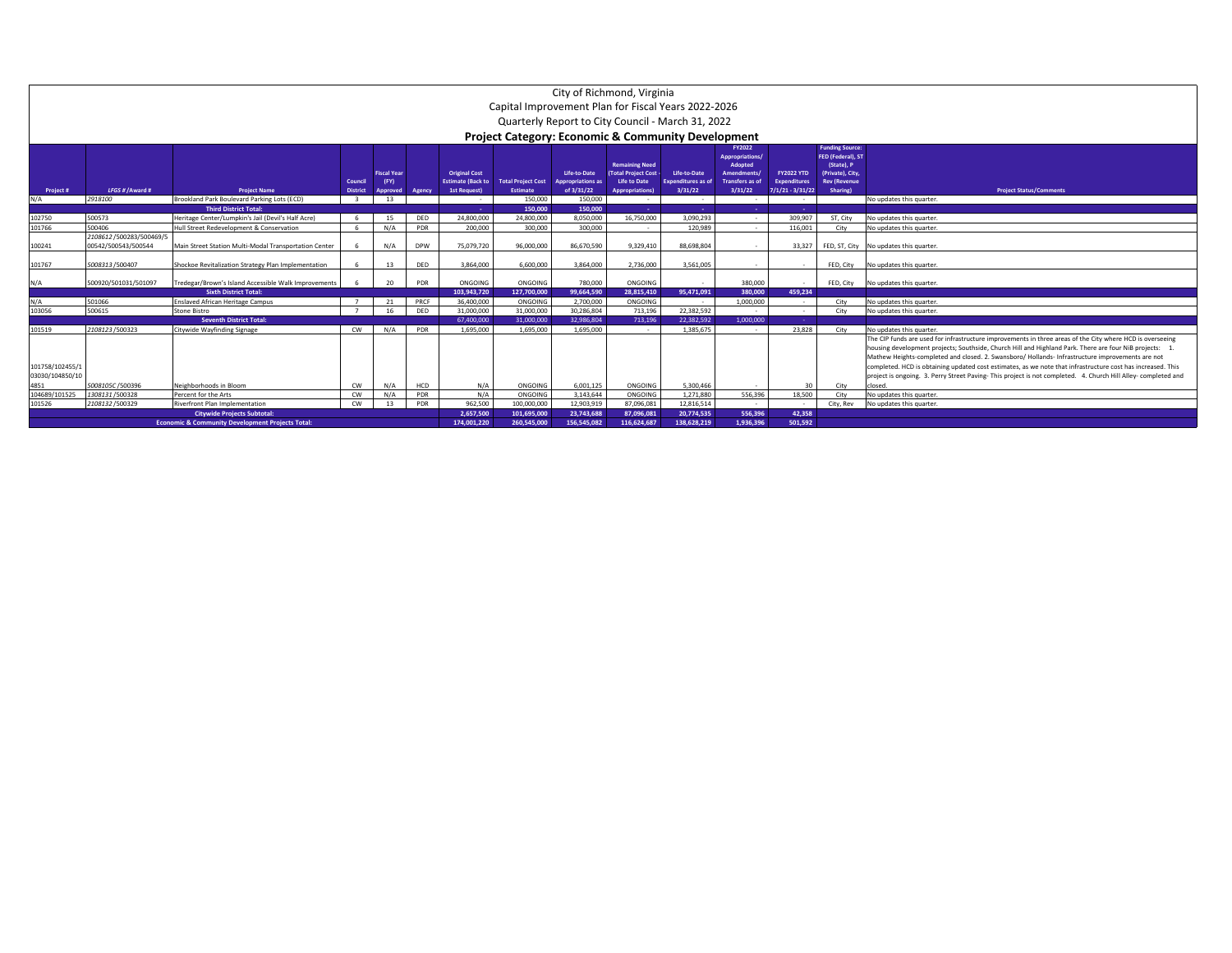|                  | City of Richmond, Virginia<br>Capital Improvement Plan for Fiscal Years 2022-2026 |                                                                    |          |                    |            |                          |                                                               |                          |                             |                           |                                  |                           |                                             |                                                                                                                                       |
|------------------|-----------------------------------------------------------------------------------|--------------------------------------------------------------------|----------|--------------------|------------|--------------------------|---------------------------------------------------------------|--------------------------|-----------------------------|---------------------------|----------------------------------|---------------------------|---------------------------------------------|---------------------------------------------------------------------------------------------------------------------------------------|
|                  |                                                                                   |                                                                    |          |                    |            |                          |                                                               |                          |                             |                           |                                  |                           |                                             |                                                                                                                                       |
|                  |                                                                                   |                                                                    |          |                    |            |                          | Quarterly Report to City Council - March 31, 2022             |                          |                             |                           |                                  |                           |                                             |                                                                                                                                       |
|                  |                                                                                   |                                                                    |          |                    |            |                          |                                                               |                          |                             |                           |                                  |                           |                                             |                                                                                                                                       |
|                  |                                                                                   |                                                                    |          |                    |            |                          | <b>Project Category: Economic &amp; Community Development</b> |                          |                             |                           |                                  |                           |                                             |                                                                                                                                       |
|                  |                                                                                   |                                                                    |          |                    |            |                          |                                                               |                          |                             |                           | <b>FY2022</b><br>Appropriations/ |                           | <b>Funding Source:</b><br>FED (Federal), ST |                                                                                                                                       |
|                  |                                                                                   |                                                                    |          |                    |            |                          |                                                               |                          | <b>Remaining Need</b>       |                           | Adopted                          |                           | (State), P                                  |                                                                                                                                       |
|                  |                                                                                   |                                                                    |          | <b>Fiscal Year</b> |            | <b>Original Cost</b>     |                                                               | Life-to-Date             | <b>Total Project Cost -</b> | Life-to-Date              | Amendments/                      | <b>FY2022 YTD</b>         | (Private), City,                            |                                                                                                                                       |
|                  |                                                                                   |                                                                    | Council  | (FY)               |            | <b>Estimate (Back to</b> | <b>Total Project Cost</b>                                     | <b>Appropriations as</b> | <b>Life to Date</b>         | <b>Expenditures as of</b> | <b>Transfers as of</b>           | <b>Expenditures</b>       | <b>Rev (Revenue</b>                         |                                                                                                                                       |
| Project #<br>N/A | LFGS # / Award #<br>2918100                                                       | <b>Project Name</b><br>Brookland Park Boulevard Parking Lots (ECD) | District | Approved<br>13     | Agency     | 1st Request)             | <b>Estimate</b><br>150,000                                    | of 3/31/22<br>150,000    | <b>Appropriations</b> )     | 3/31/22<br>$\sim$         | 3/31/22<br>$\sim$                | $7/1/21 - 3/31/22$<br>. . | <b>Sharing</b>                              | <b>Project Status/Comments</b><br>No updates this quarter.                                                                            |
|                  |                                                                                   | <b>Third District Total:</b>                                       |          |                    |            | ٠                        | 150,000                                                       | 150,000                  | $\sim$<br><b>A</b>          | a.                        | <b>Contract</b>                  |                           |                                             |                                                                                                                                       |
| 102750           | 500573                                                                            | Heritage Center/Lumpkin's Jail (Devil's Half Acre)                 |          | 15                 | DED        | 24.800.000               | 24,800,000                                                    | 8.050.000                | 16,750,000                  | 3.090.293                 | $\sim$                           | 309.907                   | ST. City                                    | No updates this quarter.                                                                                                              |
| 101766           | 500406                                                                            | Hull Street Redevelopment & Conservation                           |          | N/A                | PDR        | 200,000                  | 300,000                                                       | 300,000                  | $\sim$                      | 120.989                   | $\sim$                           | 116,001                   | City                                        | No updates this quarter.                                                                                                              |
|                  | 2108612 /500283/500469/5                                                          |                                                                    |          |                    |            |                          |                                                               |                          |                             |                           |                                  |                           |                                             |                                                                                                                                       |
| 100241           | 00542/500543/500544                                                               | Main Street Station Multi-Modal Transportation Center              |          | N/A                | <b>DPW</b> | 75,079,720               | 96,000,000                                                    | 86,670,590               | 9,329,410                   | 88,698,804                | $\sim$                           | 33,327                    |                                             | FED, ST, City No updates this quarter.                                                                                                |
|                  |                                                                                   |                                                                    |          |                    |            |                          |                                                               |                          |                             |                           |                                  |                           |                                             |                                                                                                                                       |
| 101767           | 5008313/500407                                                                    | Shockoe Revitalization Strategy Plan Implementation                |          | 13                 | DED        | 3.864.000                | 6.600.000                                                     | 3.864.000                | 2.736.000                   | 3,561,005                 | $\sim$                           | $\sim$                    |                                             | FED, City No updates this quarter.                                                                                                    |
|                  |                                                                                   |                                                                    |          |                    |            |                          |                                                               |                          |                             |                           |                                  |                           |                                             |                                                                                                                                       |
| N/A              | 500920/501031/501097                                                              | Tredegar/Brown's Island Accessible Walk Improvements               |          | 20                 | PDR        | ONGOING                  | ONGOING                                                       | 780,000                  | ONGOING                     |                           | 380,000                          | $\sim$                    |                                             | FED, City No updates this quarter.                                                                                                    |
|                  |                                                                                   | <b>Sixth District Total:</b>                                       |          |                    |            | 103.943.720              | 127.700.000                                                   | 99.664.590               | 28.815.410                  | 95.471.091                | 380.000                          | 459.234                   |                                             |                                                                                                                                       |
| N/A              | 501066                                                                            | <b>Enslaved African Heritage Campus</b>                            |          | 21                 | PRCF       | 36,400,000               | ONGOING                                                       | 2.700.000                | ONGOING                     |                           | 1.000.000                        | $\sim$                    | City                                        | No updates this quarter.                                                                                                              |
| 103056           | 500615                                                                            | <b>Stone Bistro</b>                                                |          | 16                 | DED        | 31.000.000               | 31,000,000                                                    | 30.286.804               | 713,196                     | 22.382.592                | $\sim$                           | $\sim$                    | City                                        | No updates this quarter.                                                                                                              |
|                  |                                                                                   | <b>Seventh District Total:</b>                                     |          |                    |            | 67,400,000               | 31,000,000                                                    | 32.986.804               | 713,196                     | 22.382.592                | 1.000.000                        |                           |                                             |                                                                                                                                       |
| 101519           | 2108123/500323                                                                    | Citywide Wayfinding Signage                                        | CW       | N/A                | PDR        | 1.695.000                | 1.695.000                                                     | 1.695.000                |                             | 1.385.675                 |                                  | 23,828                    | City                                        | No updates this quarter.<br>The CIP funds are used for infrastructure improvements in three areas of the City where HCD is overseeing |
|                  |                                                                                   |                                                                    |          |                    |            |                          |                                                               |                          |                             |                           |                                  |                           |                                             | housing development projects; Southside, Church Hill and Highland Park. There are four NiB projects:                                  |
|                  |                                                                                   |                                                                    |          |                    |            |                          |                                                               |                          |                             |                           |                                  |                           |                                             | Mathew Heights-completed and closed. 2. Swansboro/ Hollands- Infrastructure improvements are not                                      |
| 101758/102455/1  |                                                                                   |                                                                    |          |                    |            |                          |                                                               |                          |                             |                           |                                  |                           |                                             | completed. HCD is obtaining updated cost estimates, as we note that infrastructure cost has increased. This                           |
| 03030/104850/10  |                                                                                   |                                                                    |          |                    |            |                          |                                                               |                          |                             |                           |                                  |                           |                                             | project is ongoing. 3. Perry Street Paving- This project is not completed. 4. Church Hill Alley- completed and                        |
| 4851             | 5008105C /500396                                                                  | Neighborhoods in Bloom                                             | CW       | N/A                | HCD        | N/A                      | ONGOING                                                       | 6.001.125                | ONGOING                     | 5.300.466                 | $\sim$                           | 30                        | City                                        | closed.                                                                                                                               |
| 104689/101525    | 1308131/500328                                                                    | Percent for the Arts                                               | CW       | N/A                | PDR        | N/A                      | ONGOING                                                       | 3,143,644                | ONGOING                     | 1.271.880                 | 556.396                          | 18,500                    | City                                        | No updates this quarter.                                                                                                              |
| 101526           | 2108132/500329                                                                    | Riverfront Plan Implementation                                     | CW       | 13                 | PDR        | 962.500                  | 100.000.000                                                   | 12.903.919               | 87.096.081                  | 12.816.514                | $\sim$ 100 $\mu$                 | $\sim$                    | City, Rev                                   | No updates this quarter.                                                                                                              |
|                  |                                                                                   | <b>Citywide Projects Subtotal:</b>                                 |          |                    |            | 2,657,500                | 101.695.000                                                   | 23,743,688               | 87.096.081                  | 20.774.535                | 556,396                          | 42,358                    |                                             |                                                                                                                                       |
|                  |                                                                                   | <b>Economic &amp; Community Development Projects Total</b>         |          |                    |            | 174.001.220              | 260,545,000                                                   | 156,545,082              | 116.624.687                 | 138.628.219               | 1.936.396                        | 501,592                   |                                             |                                                                                                                                       |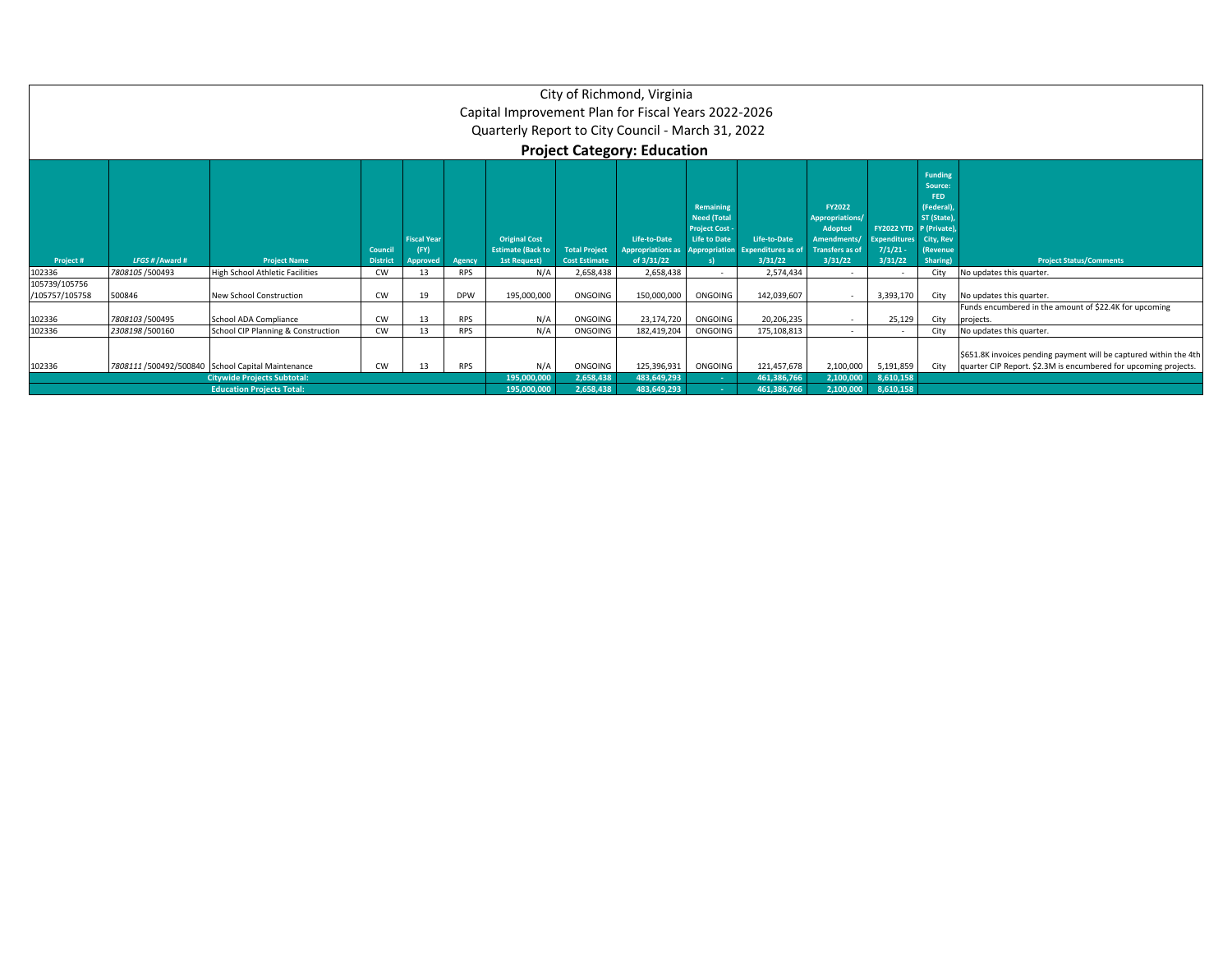|                                 |                  |                                                                                                                             |                            |                                               |                                   | Capital Improvement Plan for Fiscal Years 2022-2026<br>Quarterly Report to City Council - March 31, 2022 |                                              | City of Richmond, Virginia<br><b>Project Category: Education</b> |                                                                               |                                                             |                                                                                                       |                                                                                                                                           |                                                                                                                           |                                                                     |
|---------------------------------|------------------|-----------------------------------------------------------------------------------------------------------------------------|----------------------------|-----------------------------------------------|-----------------------------------|----------------------------------------------------------------------------------------------------------|----------------------------------------------|------------------------------------------------------------------|-------------------------------------------------------------------------------|-------------------------------------------------------------|-------------------------------------------------------------------------------------------------------|-------------------------------------------------------------------------------------------------------------------------------------------|---------------------------------------------------------------------------------------------------------------------------|---------------------------------------------------------------------|
| Project #                       | LFGS # / Award # | <b>Project Name</b>                                                                                                         | Council<br><b>District</b> | <b>Fiscal Year</b><br>(FY)<br><b>Approved</b> | Agency                            | <b>Original Cost</b><br><b>Estimate (Back to</b><br>1st Request)                                         | <b>Total Project</b><br><b>Cost Estimate</b> | Life-to-Date<br><b>Appropriations as</b><br>of 3/31/22           | Remaining<br><b>Need (Total</b><br><b>Project Cost</b><br><b>Life to Date</b> | Life-to-Date<br>Appropriation Expenditures as of<br>3/31/22 | <b>FY2022</b><br><b>Appropriations</b><br>Adopted<br>Amendments/<br><b>Transfers as of</b><br>3/31/22 | <b>FY2022 YTD</b><br><b>Expenditures</b><br>7/1/21<br>3/31/22                                                                             | <b>Funding</b><br>Source:<br>FED.<br>(Federal)<br>ST (State).<br>P (Private)<br>City, Rev<br><b>(Revenue)</b><br>Sharing) | <b>Project Status/Comments</b>                                      |
| 102336                          | 7808105 / 500493 | <b>High School Athletic Facilities</b>                                                                                      | <b>CW</b>                  | 13                                            | <b>RPS</b>                        | N/A                                                                                                      | 2,658,438                                    | 2,658,438                                                        |                                                                               | 2,574,434                                                   |                                                                                                       |                                                                                                                                           | City                                                                                                                      | No updates this quarter.                                            |
| 105739/105756<br>/105757/105758 | 500846           | New School Construction                                                                                                     | <b>CW</b>                  | 19                                            | <b>DPW</b>                        | 195,000,000                                                                                              | ONGOING                                      | 150,000,000                                                      | ONGOING                                                                       | 142,039,607                                                 | $\sim$                                                                                                | 3,393,170                                                                                                                                 |                                                                                                                           | City No updates this quarter.                                       |
| 102336                          | 7808103 / 500495 | School ADA Compliance                                                                                                       | <b>CW</b>                  | 13                                            | <b>RPS</b>                        | N/A                                                                                                      | ONGOING                                      | 23,174,720                                                       | ONGOING                                                                       | 20,206,235                                                  | $\sim$                                                                                                | 25,129                                                                                                                                    | City                                                                                                                      | Funds encumbered in the amount of \$22.4K for upcoming<br>projects. |
| 102336                          | 2308198 / 500160 | School CIP Planning & Construction                                                                                          | <b>CW</b>                  | 13                                            | <b>RPS</b>                        | N/A                                                                                                      | ONGOING                                      | 182,419,204                                                      | ONGOING                                                                       | 175,108,813                                                 | $\sim$                                                                                                | $\sim$                                                                                                                                    | City                                                                                                                      | No updates this quarter.                                            |
| 102336                          |                  | 7808111 /500492/500840 School Capital Maintenance<br><b>Citywide Projects Subtotal:</b><br><b>Education Projects Total:</b> | <b>RPS</b>                 | N/A<br>195,000,000<br>195,000,000             | ONGOING<br>2,658,438<br>2,658,438 | 125,396,931<br>483,649,293<br>483,649,293                                                                | ONGOING                                      | 121,457,678<br>461,386,766<br>461,386,766                        | 2,100,000                                                                     | 2,100,000 5,191,859<br>8,610,158<br>2,100,000 8,610,158     |                                                                                                       | \$651.8K invoices pending payment will be captured within the 4th<br>City quarter CIP Report. \$2.3M is encumbered for upcoming projects. |                                                                                                                           |                                                                     |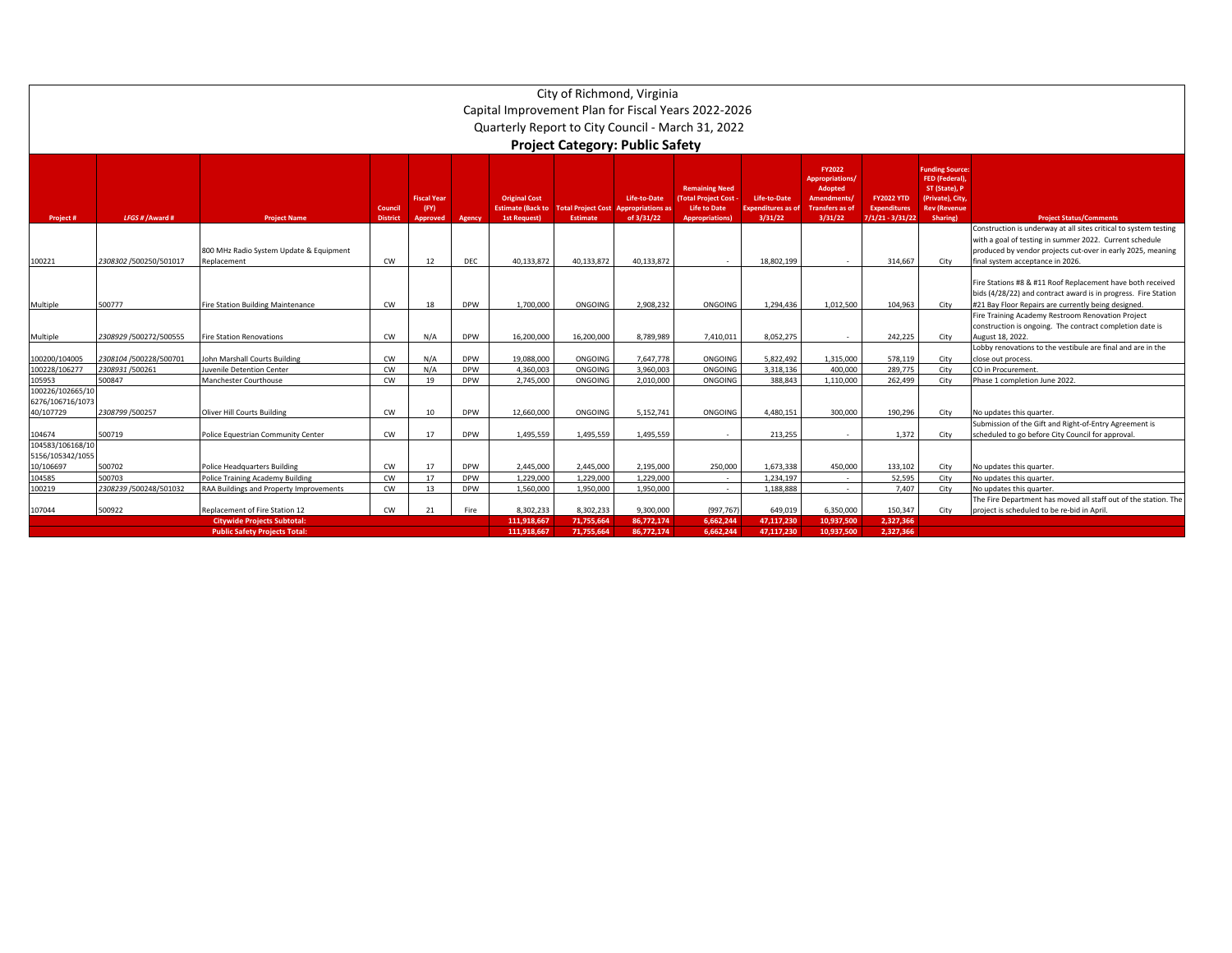|                                      | City of Richmond, Virginia<br>Capital Improvement Plan for Fiscal Years 2022-2026 |                                          |                 |                            |            |                                                  |                                             |              |                                                                            |                                   |                                                                                           |                                          |                                                                                                           |                                                                                                                             |
|--------------------------------------|-----------------------------------------------------------------------------------|------------------------------------------|-----------------|----------------------------|------------|--------------------------------------------------|---------------------------------------------|--------------|----------------------------------------------------------------------------|-----------------------------------|-------------------------------------------------------------------------------------------|------------------------------------------|-----------------------------------------------------------------------------------------------------------|-----------------------------------------------------------------------------------------------------------------------------|
|                                      |                                                                                   |                                          |                 |                            |            |                                                  |                                             |              |                                                                            |                                   |                                                                                           |                                          |                                                                                                           |                                                                                                                             |
|                                      |                                                                                   |                                          |                 |                            |            |                                                  |                                             |              | Quarterly Report to City Council - March 31, 2022                          |                                   |                                                                                           |                                          |                                                                                                           |                                                                                                                             |
|                                      |                                                                                   |                                          |                 |                            |            |                                                  |                                             |              |                                                                            |                                   |                                                                                           |                                          |                                                                                                           |                                                                                                                             |
|                                      | <b>Project Category: Public Safety</b>                                            |                                          |                 |                            |            |                                                  |                                             |              |                                                                            |                                   |                                                                                           |                                          |                                                                                                           |                                                                                                                             |
|                                      |                                                                                   |                                          | Counci          | <b>Fiscal Year</b><br>(FY) |            | <b>Original Cost</b><br><b>Estimate (Back to</b> | <b>Total Project Cost Appropriations as</b> | Life-to-Date | <b>Remaining Need</b><br><b>(Total Project Cost</b><br><b>Life to Date</b> | Life-to-Date<br>xpenditures as of | <b>FY2022</b><br>Appropriations/<br>Adopted<br><b>Amendments</b><br><b>Transfers as o</b> | <b>FY2022 YTD</b><br><b>Expenditures</b> | <b>Funding Source:</b><br><b>FED (Federal)</b><br>ST (State), P<br>(Private), City<br><b>Rev (Revenue</b> |                                                                                                                             |
| Project#                             | LFGS # / Award #                                                                  | <b>Project Name</b>                      | <b>District</b> | Approved                   | Agency     | <b>1st Request)</b>                              | <b>Estimate</b>                             | of 3/31/22   | <b>Appropriations</b> )                                                    | 3/31/22                           | 3/31/22                                                                                   | $7/1/21 - 3/31/22$                       | Sharing)                                                                                                  | <b>Project Status/Comments</b>                                                                                              |
|                                      |                                                                                   |                                          |                 |                            |            |                                                  |                                             |              |                                                                            |                                   |                                                                                           |                                          |                                                                                                           | Construction is underway at all sites critical to system testing<br>with a goal of testing in summer 2022. Current schedule |
|                                      |                                                                                   | 800 MHz Radio System Update & Equipment  |                 |                            |            |                                                  |                                             |              |                                                                            |                                   |                                                                                           |                                          |                                                                                                           | produced by vendor projects cut-over in early 2025, meaning                                                                 |
| 100221                               | 2308302 /500250/501017                                                            | Replacement                              | <b>CW</b>       | 12                         | DEC        | 40,133,872                                       | 40,133,872                                  | 40,133,872   |                                                                            | 18,802,199                        |                                                                                           | 314,667                                  | City                                                                                                      | final system acceptance in 2026.                                                                                            |
|                                      |                                                                                   |                                          |                 |                            |            |                                                  |                                             |              |                                                                            |                                   |                                                                                           |                                          |                                                                                                           |                                                                                                                             |
|                                      |                                                                                   |                                          |                 |                            |            |                                                  |                                             |              |                                                                            |                                   |                                                                                           |                                          |                                                                                                           | Fire Stations #8 & #11 Roof Replacement have both received                                                                  |
|                                      |                                                                                   |                                          |                 |                            |            |                                                  |                                             |              |                                                                            |                                   |                                                                                           |                                          |                                                                                                           | bids (4/28/22) and contract award is in progress. Fire Station                                                              |
| Multiple                             | 500777                                                                            | <b>Fire Station Building Maintenance</b> | <b>CW</b>       | 18                         | <b>DPW</b> | 1.700.000                                        | ONGOING                                     | 2.908.232    | ONGOING                                                                    | 1,294,436                         | 1,012,500                                                                                 | 104,963                                  | City                                                                                                      | #21 Bay Floor Repairs are currently being designed.                                                                         |
|                                      |                                                                                   |                                          |                 |                            |            |                                                  |                                             |              |                                                                            |                                   |                                                                                           |                                          |                                                                                                           | Fire Training Academy Restroom Renovation Project                                                                           |
|                                      |                                                                                   |                                          |                 |                            |            |                                                  |                                             |              |                                                                            |                                   |                                                                                           |                                          |                                                                                                           | construction is ongoing. The contract completion date is                                                                    |
| Multiple                             | 2308929 /500272/500555                                                            | <b>Fire Station Renovations</b>          | CW              | N/A                        | <b>DPW</b> | 16,200,000                                       | 16,200,000                                  | 8,789,989    | 7,410,011                                                                  | 8,052,275                         |                                                                                           | 242,225                                  | City                                                                                                      | August 18, 2022.                                                                                                            |
|                                      |                                                                                   |                                          |                 |                            |            |                                                  |                                             |              |                                                                            |                                   |                                                                                           |                                          |                                                                                                           | Lobby renovations to the vestibule are final and are in the                                                                 |
| 100200/104005                        | 2308104 /500228/500701                                                            | John Marshall Courts Building            | <b>CW</b>       | N/A                        | <b>DPW</b> | 19.088.000                                       | ONGOING                                     | 7.647.778    | ONGOING                                                                    | 5.822.492                         | 1.315.000                                                                                 | 578.119                                  | City                                                                                                      | close out process.                                                                                                          |
| 100228/106277                        | 2308931/500261                                                                    | <b>Juvenile Detention Center</b>         | <b>CW</b>       | N/A                        | <b>DPW</b> | 4.360.003                                        | ONGOING                                     | 3.960.003    | ONGOING                                                                    | 3.318.136                         | 400.000                                                                                   | 289,775                                  | City                                                                                                      | CO in Procurement                                                                                                           |
| 105953                               | 500847                                                                            | Manchester Courthouse                    | <b>CW</b>       | 19                         | <b>DPW</b> | 2,745,000                                        | ONGOING                                     | 2,010,000    | ONGOING                                                                    | 388.843                           | 1.110.000                                                                                 | 262,499                                  | City                                                                                                      | Phase 1 completion June 2022.                                                                                               |
| 100226/102665/10                     |                                                                                   |                                          |                 |                            |            |                                                  |                                             |              |                                                                            |                                   |                                                                                           |                                          |                                                                                                           |                                                                                                                             |
| 6276/106716/1073                     |                                                                                   |                                          |                 |                            |            |                                                  |                                             |              |                                                                            |                                   |                                                                                           |                                          |                                                                                                           |                                                                                                                             |
| 40/107729                            | 2308799 /500257                                                                   | <b>Oliver Hill Courts Building</b>       | CW              | 10                         | <b>DPW</b> | 12,660,000                                       | ONGOING                                     | 5,152,741    | ONGOING                                                                    | 4,480,151                         | 300,000                                                                                   | 190,296                                  | City                                                                                                      | No updates this quarter.                                                                                                    |
|                                      |                                                                                   |                                          | CW              |                            | <b>DPW</b> |                                                  |                                             |              |                                                                            |                                   |                                                                                           |                                          |                                                                                                           | Submission of the Gift and Right-of-Entry Agreement is                                                                      |
| 104674                               | 500719                                                                            | Police Equestrian Community Center       |                 | 17                         |            | 1.495.559                                        | 1.495.559                                   | 1.495.559    |                                                                            | 213.255                           |                                                                                           | 1.372                                    | City                                                                                                      | scheduled to go before City Council for approval.                                                                           |
| 104583/106168/10<br>5156/105342/1055 |                                                                                   |                                          |                 |                            |            |                                                  |                                             |              |                                                                            |                                   |                                                                                           |                                          |                                                                                                           |                                                                                                                             |
| 10/106697                            | 500702                                                                            | <b>Police Headquarters Building</b>      | <b>CW</b>       | 17                         | <b>DPW</b> | 2,445,000                                        | 2,445,000                                   | 2.195.000    | 250,000                                                                    | 1,673,338                         | 450,000                                                                                   | 133,102                                  | City                                                                                                      | No updates this quarter.                                                                                                    |
| 104585                               | 500703                                                                            | <b>Police Training Academy Building</b>  | <b>CW</b>       | 17                         | <b>DPW</b> | 1,229,000                                        | 1,229,000                                   | 1,229,000    | $\sim$                                                                     | 1.234.197                         | $\sim$                                                                                    | 52,595                                   | City                                                                                                      | No updates this quarter.                                                                                                    |
| 100219                               | 2308239 /500248/501032                                                            | RAA Buildings and Property Improvements  | <b>CW</b>       | 13                         | <b>DPW</b> | 1,560,000                                        | 1,950,000                                   | 1.950.000    |                                                                            | 1.188.888                         |                                                                                           | 7,407                                    | City                                                                                                      | No updates this quarter.                                                                                                    |
|                                      |                                                                                   |                                          |                 |                            |            |                                                  |                                             |              |                                                                            |                                   |                                                                                           |                                          |                                                                                                           | The Fire Department has moved all staff out of the station. The                                                             |
| 107044                               | 500922                                                                            | Replacement of Fire Station 12           | CW              | 21                         | Fire       | 8.302.233                                        | 8.302.233                                   | 9.300.000    | (997.767)                                                                  | 649.019                           | 6.350.000                                                                                 | 150.347                                  | City                                                                                                      | project is scheduled to be re-bid in April.                                                                                 |
|                                      |                                                                                   | <b>Citywide Projects Subtotal:</b>       |                 | 111.918.667                | 71,755,664 | 86,772,174                                       | 6,662,244                                   | 47,117,230   | 10.937.500                                                                 | 2,327,366                         |                                                                                           |                                          |                                                                                                           |                                                                                                                             |
|                                      |                                                                                   | <b>Public Safety Projects Total:</b>     |                 |                            |            | 111.918.667                                      | 71,755,664                                  | 86,772,174   | 6,662,244                                                                  | 47,117,230                        | 10,937,500                                                                                | 2,327,366                                |                                                                                                           |                                                                                                                             |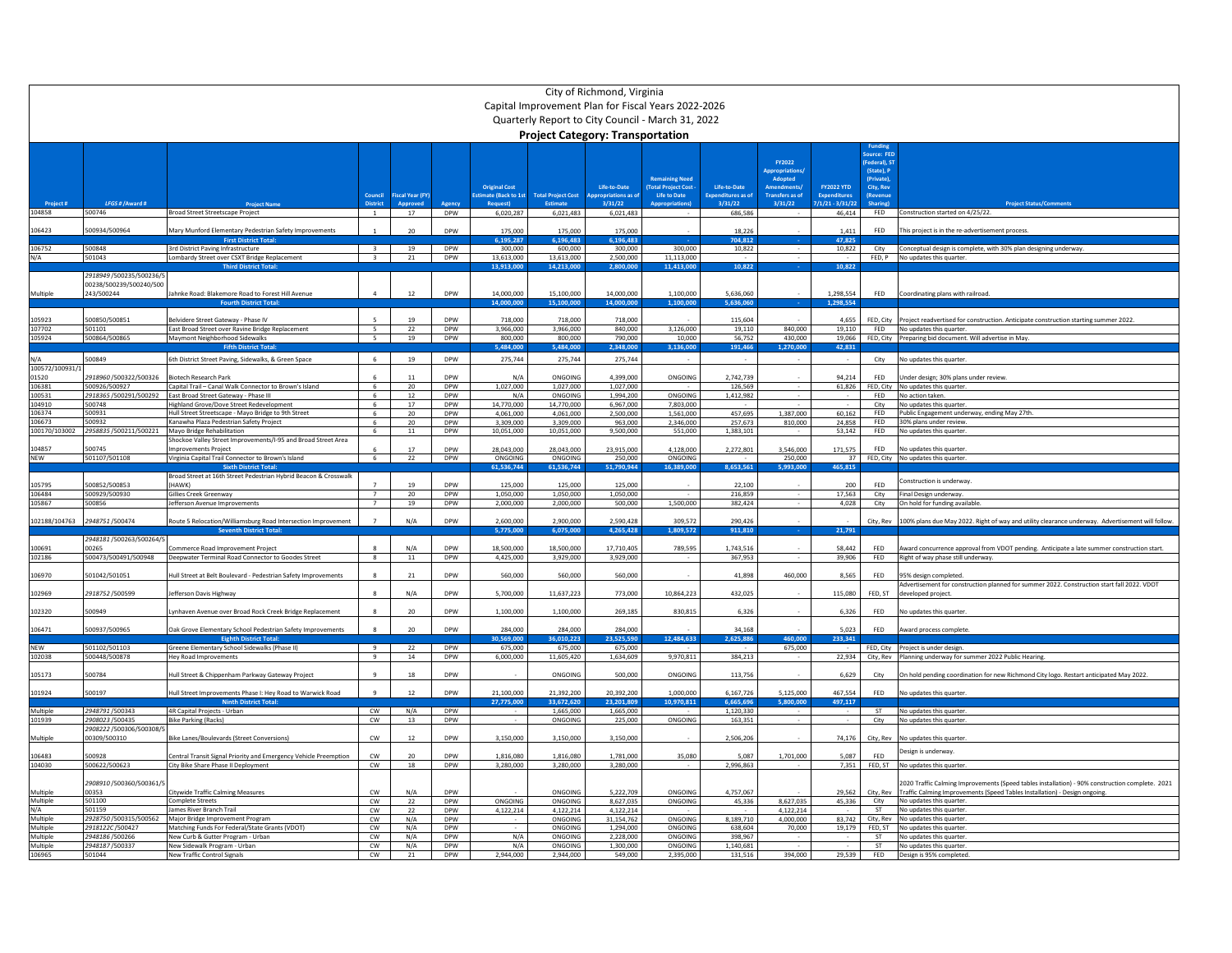|                         |                                         |                                                                                                         |                          |                         |                          |                                 |                                   | City of Richmond, Virginia              | Capital Improvement Plan for Fiscal Years 2022-2026 |                               |                                                                 |                                           |                                                                      |                                                                                                                                 |
|-------------------------|-----------------------------------------|---------------------------------------------------------------------------------------------------------|--------------------------|-------------------------|--------------------------|---------------------------------|-----------------------------------|-----------------------------------------|-----------------------------------------------------|-------------------------------|-----------------------------------------------------------------|-------------------------------------------|----------------------------------------------------------------------|---------------------------------------------------------------------------------------------------------------------------------|
|                         |                                         |                                                                                                         |                          |                         |                          |                                 |                                   | <b>Project Category: Transportation</b> | Quarterly Report to City Council - March 31, 2022   |                               |                                                                 |                                           |                                                                      |                                                                                                                                 |
|                         |                                         |                                                                                                         |                          |                         |                          | <b>Original Cost</b>            |                                   | Life-to-Date                            | <b>Remaining Need</b><br><b>Total Project Cost</b>  | Life-to-Date                  | FY2022<br><b>Appropriation:</b><br>Adopted<br><b>Amendments</b> | <b>FY2022 YTD</b>                         | ource: FED<br>(Federal), S1<br>(State), P<br>(Private).<br>City, Rev |                                                                                                                                 |
|                         | LFGS # / Award #                        |                                                                                                         | Council                  | <b>Fiscal Year (FY)</b> |                          | stimate (Back to 1st<br>Request | <b>Total Project Cost</b><br>Esti | propriations as of<br>3/31/22           | Life to Date                                        | Expenditures as of<br>3/31/22 | Transfers as of<br>3/31/22                                      | <b>Expenditures</b><br>$1/1/21 - 3/31/22$ | <b>(Revenue</b><br>Sharing                                           |                                                                                                                                 |
| 104858                  | 500746                                  | <b>Broad Street Streetscape Project</b>                                                                 |                          | 17                      | DPW                      | 6,020,287                       | 6,021,483                         | 6,021,483                               |                                                     | 686,586                       |                                                                 | 46,414                                    | FED                                                                  | Construction started on 4/25/22.                                                                                                |
| 106423                  | 500934/500964                           | Mary Munford Elementary Pedestrian Safety Improvements<br><b>First District Tota</b>                    |                          | 20                      | <b>DPW</b>               | 175,000<br>195.287              | 175,000<br>196.483                | 175,000<br>6.196.483                    |                                                     | 18.226<br>704.812             |                                                                 | 1,411<br>47.825                           | <b>FFD</b>                                                           | This project is in the re-advertisement process.                                                                                |
| 106752                  | 500848                                  | 3rd District Paving Infrastructure                                                                      | $\overline{3}$           | 19                      | DPW                      | 300,000                         | 600,000                           | 300,000                                 | 300,000                                             | 10,822                        |                                                                 | 10,822                                    |                                                                      | City Conceptual design is complete, with 30% plan designing underway.                                                           |
| N/A                     | 501043                                  | Lombardy Street over CSXT Bridge Replacement<br><b>Third District Tota</b>                              | $\mathbf{3}$             | 21                      | DPW                      | 13.613.000<br>3.913.00          | 13.613.000<br>14.213.000          | 2.500.000<br>2.800.00                   | 11,113,000<br>11,413,000                            | 10,822                        |                                                                 | <b>Service</b><br>10,822                  |                                                                      | FED, P No updates this quarter.                                                                                                 |
|                         | 2918949 /500235/500236/5                |                                                                                                         |                          |                         |                          |                                 |                                   |                                         |                                                     |                               |                                                                 |                                           |                                                                      |                                                                                                                                 |
| Multiple                | 00238/500239/500240/500<br>243/500244   | lahnke Road: Blakemore Road to Forest Hill Avenue                                                       |                          | 12                      | DPW                      | 14,000,000                      | 15,100,000                        | 14,000,000                              | 1,100,000                                           | 5,636,060                     |                                                                 | 1,298,554                                 | <b>FFD</b>                                                           | Coordinating plans with railroad.                                                                                               |
| 105923                  | 500850/50085                            | Belvidere Street Gateway - Phase IV                                                                     |                          | 19                      | <b>DPW</b>               | 40000<br>718.000                | 15.100.000<br>718.000             | 14,000,000<br>718.000                   | 1,100,00                                            | 130 353 3<br>115.604          |                                                                 | 298.554<br>4.655                          | FED. City                                                            | Project readvertised for construction. Anticipate construction starting summer 2022.                                            |
| 107702                  | 501101                                  | East Broad Street over Ravine Bridge Replacement                                                        | 5                        | 22                      | DPW                      | 3.966.000                       | 3,966,000                         | 840,000                                 | 3,126,000                                           | 19,110                        | 840,000                                                         | 19,110                                    | <b>FED</b>                                                           | No updates this quarter.                                                                                                        |
| 105924                  | 500864/500865                           | Maymont Neighborhood Sidewalks                                                                          | $\overline{\phantom{a}}$ | 19                      | DPW                      | 800,000                         | 800,000                           | 790,000                                 | 10,000                                              | 56,752                        | 430,000                                                         | 19,066                                    |                                                                      | FED, City Preparing bid document. Will advertise in May.                                                                        |
|                         |                                         | <b>Fifth District Tot:</b>                                                                              |                          |                         |                          | $-484.00$                       | $-484.00$                         | 2.348.000                               | 3.136.00                                            | 191.46                        | 1.270.000                                                       | 42.831                                    |                                                                      |                                                                                                                                 |
| N/A                     | 500849                                  | 6th District Street Paving, Sidewalks, & Green Space                                                    | $\epsilon$               | 19                      | DPW                      | 275,744                         | 275,744                           | 275,744                                 |                                                     |                               |                                                                 |                                           | City                                                                 | No updates this quarter.                                                                                                        |
| 100572/100931/<br>01520 | 2918960/500322/500326                   | Biotech Research Park                                                                                   |                          | 11                      | DPW                      | N/A                             | ONGOING                           | 4,399,000                               | ONGOING                                             | 2,742,739                     |                                                                 | 94,214                                    | <b>FED</b>                                                           | Under design; 30% plans under review                                                                                            |
| 106381                  | 500926/500927                           | Capital Trail - Canal Walk Connector to Brown's Island                                                  | 6                        | 20                      | <b>DPW</b>               | 1,027,000                       | 1,027,000                         | 1,027,000                               |                                                     | 126,569                       | $\sim$                                                          | 61,826                                    |                                                                      | FED, City No updates this quarter.                                                                                              |
| 100531                  | 2918365 /500291/500292                  | East Broad Street Gateway - Phase III                                                                   | 6                        | 12                      | DPW                      | N/A                             | ONGOING                           | 1.994.200                               | ONGOING                                             | 1,412,982                     |                                                                 |                                           | <b>FED</b>                                                           | No action taken                                                                                                                 |
| 104910<br>106374        | 500748<br>500931                        | Highland Grove/Dove Street Redevelopment<br>Hull Street Streetscape - Mayo Bridge to 9th Street         | -6<br>6                  | 17<br>20 <sub>2</sub>   | <b>DPW</b><br>DPW        | 14.770.000<br>4,061,000         | 14.770.000<br>4,061,000           | 6.967.000<br>2,500,000                  | 7.803.000<br>1,561,000                              | 457,695                       | 1,387,000                                                       | 60,162                                    | City<br>FED                                                          | No updates this quarter<br>Public Engagement underway, ending May 27th.                                                         |
| 106673                  | 500932                                  | Kanawha Plaza Pedestrian Safety Project                                                                 | $6\overline{6}$          | 20                      | <b>DPW</b>               | 3,309,000                       | 3.309.000                         | 963,000                                 | 2,346,000                                           | 257,673                       | 810,000                                                         | 24.858                                    | <b>FED</b>                                                           | 30% plans under review                                                                                                          |
| 100170/103002           | 2958835/500211/500221                   | Mayo Bridge Rehabilitation                                                                              | 6                        | $11\,$                  | DPW                      | 10,051,000                      | 10,051,000                        | 9,500,000                               | 551,000                                             | 1,383,101                     |                                                                 | 53,142                                    | FED                                                                  | No updates this quarter.                                                                                                        |
|                         |                                         | Shockoe Valley Street Improvements/I-95 and Broad Street Area                                           |                          |                         |                          |                                 |                                   |                                         |                                                     |                               |                                                                 |                                           |                                                                      |                                                                                                                                 |
| 104857<br><b>NEW</b>    | 500745<br>501107/501108                 | mprovements Project<br>Virginia Capital Trail Connector to Brown's Island                               | 6                        | 17<br>22                | <b>DPW</b><br>DPW        | 28,043,000<br>ONGOING           | 28,043,000<br>ONGOING             | 23,915,000<br>250,000                   | 4,128,000<br>ONGOING                                | 2,272,801                     | 3,546,000<br>250,000                                            | 171,575<br>37                             | FED                                                                  | No updates this quarter<br>FED. City No updates this quarter                                                                    |
|                         |                                         | <b>Sixth District Total</b>                                                                             |                          |                         |                          | 61,536,744                      | 61,536,744                        | 51,790,944                              | 16.389.000                                          | 8,653,561                     | 5.993.000                                                       | 465.815                                   |                                                                      |                                                                                                                                 |
|                         |                                         | Broad Street at 16th Street Pedestrian Hybrid Beacon & Crosswalk                                        |                          |                         |                          |                                 |                                   |                                         |                                                     |                               |                                                                 |                                           |                                                                      | Construction is underway.                                                                                                       |
| 105795<br>106484        | 500852/500853<br>500929/500930          | (HAWK)<br>Gillies Creek Greenway                                                                        | $\overline{7}$           | 19<br>20                | <b>DPW</b><br>DPW        | 125,000                         | 125,000<br>1,050,000              | 125,000<br>1,050,000                    |                                                     | 22.100<br>216,859             |                                                                 | 200<br>17,563                             | <b>FFD</b><br>City                                                   |                                                                                                                                 |
| 105867                  | 500856                                  | lefferson Avenue Improvements                                                                           |                          | 19                      | <b>DPW</b>               | 1,050,000<br>2,000,000          | 2,000,000                         | 500,000                                 | 1,500,000                                           | 382,424                       |                                                                 | 4,028                                     | City                                                                 | Final Design underway.<br>On hold for funding available                                                                         |
| 102188/104763           | 2948751/500474                          | Route 5 Relocation/Williamsburg Road Intersection Improvement<br><b>Seventh District Total:</b>         |                          | N/A                     | <b>DPW</b>               | 2,600,000<br>5,775,000          | 2,900,000<br>6.075.000            | 2,590,428<br>4,265,428                  | 309,572<br>1,809,572                                | 290,426<br>911.810            |                                                                 | 21,791                                    | City, Rev                                                            | 100% plans due May 2022. Right of way and utility clearance underway. Advertisement will follow                                 |
|                         | 2948181 /500263/500264/                 |                                                                                                         |                          |                         |                          |                                 |                                   |                                         |                                                     |                               |                                                                 |                                           |                                                                      |                                                                                                                                 |
| 100691<br>102186        | 00265<br>500473/500491/500948           | nmerce Road Improvement Project<br>Deepwater Terminal Road Connector to Goodes Street                   | 8                        | N/A<br>11               | <b>DPW</b><br><b>DPW</b> | 18,500,000<br>4,425,000         | 18,500,000<br>3,929,000           | 17.710.405<br>3,929,000                 | 789,595                                             | 1,743,516<br>367,953          |                                                                 | 58.442<br>39,906                          | FFD.<br>FED                                                          | Award concurrence approval from VDOT pending. Anticipate a late summer construction start<br>Right of way phase still underway. |
| 106970                  | 501042/501051                           | Hull Street at Belt Boulevard - Pedestrian Safety Improvements                                          |                          | $21\,$                  | DPW                      | 560,000                         | 560,000                           | 560,000                                 |                                                     | 41,898                        | 460,000                                                         | 8,565                                     | FED                                                                  | 95% design completed                                                                                                            |
| 102969                  | 2918752 /500599                         | efferson Davis Highway                                                                                  |                          | N/A                     | <b>DPW</b>               | 5,700,000                       | 11,637,223                        | 773,000                                 | 10,864,223                                          | 432,025                       |                                                                 | 115,080                                   | FED, ST                                                              | Advertisement for construction planned for summer 2022. Construction start fall 2022. VDOT<br>developed project.                |
| 102320                  | 500949                                  | ynhaven Avenue over Broad Rock Creek Bridge Replacement                                                 | $\mathbf{R}$             | 20                      | <b>DPW</b>               | 1,100,000                       | 1,100,000                         | 269,185                                 | 830,815                                             | 6,326                         |                                                                 | 6,326                                     | <b>FED</b>                                                           | No updates this quarter                                                                                                         |
| 106471                  | 500937/500965                           | Oak Grove Elementary School Pedestrian Safety Improvements<br><b>Eighth District Tota</b>               |                          | 20                      | <b>DPW</b>               | 284,000<br>,569.00              | 284,000<br>.010.22                | 284,000                                 | 2.484.633                                           | 34.168<br>2,625,88            | 460.00                                                          | 5.023                                     | FFD.                                                                 | Award process complete                                                                                                          |
| <b>NFW</b>              | 501102/501103                           | Greene Elementary School Sidewalks (Phase II)                                                           | $\overline{9}$           | 22                      | <b>DPW</b>               | 675,000                         | 675,000                           | 23,525,590<br>675,000                   |                                                     |                               | 675,000                                                         | 233,341                                   |                                                                      | FED, City Project is under design.                                                                                              |
| 102038                  | 500448/500878                           | <b>Hey Road Improvements</b>                                                                            | $\ddot{q}$               | 14                      | DPW                      | 6,000,000                       | 11,605,420                        | 1,634,609                               | 9,970,811                                           | 384,213                       |                                                                 | 22.934                                    |                                                                      | City, Rev Planning underway for summer 2022 Public Hearing.                                                                     |
| 105173                  | 500784                                  | Hull Street & Chippenham Parkway Gateway Project                                                        |                          | 18                      | <b>DPW</b>               |                                 | ONGOING                           | 500,000                                 | ONGOING                                             | 113,756                       |                                                                 | 6,629                                     | City                                                                 | On hold pending coordination for new Richmond City logo. Restart anticipated May 2022.                                          |
| 101924                  | 500197                                  | Hull Street Improvements Phase I: Hey Road to Warwick Road<br><b>linth District Tota</b>                | $\alpha$                 | 12                      | <b>DPW</b>               | 21,100,000<br>27.775.00         | 21.392.200                        | 20.392.200                              | 1.000.000<br>0.970.811                              | 6.167.726                     | 5,125,000<br>5,800,000                                          | 467.554                                   | FFD.                                                                 | No updates this quarter                                                                                                         |
| Multiple                | 2948791/500343                          | <b>4R Capital Projects - Urban</b>                                                                      | cw                       | N/A                     | DPW                      |                                 | 33,672,620<br>1,665,000           | 23,201,809<br>1,665,000                 |                                                     | 6,665,696<br>1,120,330        |                                                                 | 497,117                                   | <b>ST</b>                                                            | No undates this quarter                                                                                                         |
| 101939                  | 2908023 /500435                         | <b>Bike Parking (Racks)</b>                                                                             | ${\sf\small CW}$         | 13                      | DPW                      |                                 | ONGOING                           | 225,000                                 | ONGOING                                             | 163,351                       |                                                                 |                                           | City                                                                 | No updates this quarter                                                                                                         |
| Multiple                | 2908222 /500306/500308/<br>00309/500310 | Bike Lanes/Boulevards (Street Conversions)                                                              | ${\sf CW}$               | $12\,$                  | DPW                      | 3,150,000                       | 3,150,000                         | 3,150,000                               |                                                     | 2,506,206                     |                                                                 | 74,176                                    | City, Rev                                                            | No updates this quarte                                                                                                          |
| 106483<br>104030        | 500928<br>500622/500623                 | Central Transit Signal Priority and Emergency Vehicle Preemption<br>City Bike Share Phase II Deployment | ${\sf CW}$<br>cw         | 20<br>18                | <b>DPW</b><br><b>DPW</b> | 1,816,080<br>3,280,000          | 1,816,080<br>3,280,000            | 1,781,000<br>3,280,000                  | 35,080                                              | 5,087<br>2,996,863            | 1,701,000                                                       | 5,087<br>7,351                            | <b>FFD</b><br>FED. ST                                                | Design is underway.<br>No updates this quarter.                                                                                 |
|                         | 2908910/500360/500361/                  |                                                                                                         |                          |                         |                          |                                 |                                   |                                         |                                                     |                               |                                                                 |                                           |                                                                      | 2020 Traffic Calming Improvements (Speed tables installation) - 90% construction complete. 2021                                 |
| Multiple                | 00353                                   | Citywide Traffic Calming Measures                                                                       | CW                       | $N/\Delta$              | <b>DPW</b>               |                                 | ONGOING                           | 5.222.709                               | ONGOING                                             | 4,757,067                     |                                                                 | 29.562                                    | City, Rev                                                            | Traffic Calming Improvements (Speed Tables Installation) - Design ongoing.                                                      |
| Multiple<br>N/A         | 501100<br>501159                        | <b>Complete Streets</b><br>James River Branch Trail                                                     | cw<br>cw                 | 22<br>22                | DPW<br><b>DPW</b>        | ONGOING<br>4,122,214            | ONGOING<br>4,122,214              | 8,627,035<br>4.122.214                  | ONGOING                                             | 45.336                        | 8,627,035<br>4,122,214                                          | 45.336                                    | City<br><b>ST</b>                                                    | No updates this quarter.<br>No updates this quarter                                                                             |
| Multiple                | 2928750/500315/500562                   | Major Bridge Improvement Program                                                                        | ${\sf CW}$               | N/A                     | DPW                      |                                 | ONGOING                           | 31,154,762                              | ONGOING                                             | 8,189,710                     | 4,000,000                                                       | 83,742                                    |                                                                      | City, Rev No updates this quarter                                                                                               |
| Multiple                | 2918122C/500427                         | Matching Funds For Federal/State Grants (VDOT)                                                          | CW                       | N/A                     | DPW                      |                                 | ONGOING                           | 1.294.000                               | ONGOING                                             | 638,604                       | 70,000                                                          | 19.179                                    | FED. ST                                                              | No updates this quarter                                                                                                         |
| Multiple<br>Multiple    | 2948186 /500266<br>2948187/500337       | New Curb & Gutter Program - Urban<br>New Sidewalk Program - Urban                                       | ${\sf CW}$<br>cw         | N/A<br>N/A              | DPW<br><b>DPW</b>        | N/A<br>N/A                      | ONGOING<br>ONGOING                | 2,228,000<br>1,300,000                  | ONGOING<br>ONGOING                                  | 398.967<br>1,140,681          |                                                                 |                                           | <b>ST</b><br><b>ST</b>                                               | No updates this quarter<br>No updates this quarter.                                                                             |
| 106965                  | 501044                                  | <b>New Traffic Control Signals</b>                                                                      | CW                       | 21                      | DPW                      | 2.944.000                       | 2.944.000                         | 549,000                                 | 2.395.000                                           | 131.516                       | 394,000                                                         | 29.539                                    |                                                                      | FED Design is 95% completed                                                                                                     |
|                         |                                         |                                                                                                         |                          |                         |                          |                                 |                                   |                                         |                                                     |                               |                                                                 |                                           |                                                                      |                                                                                                                                 |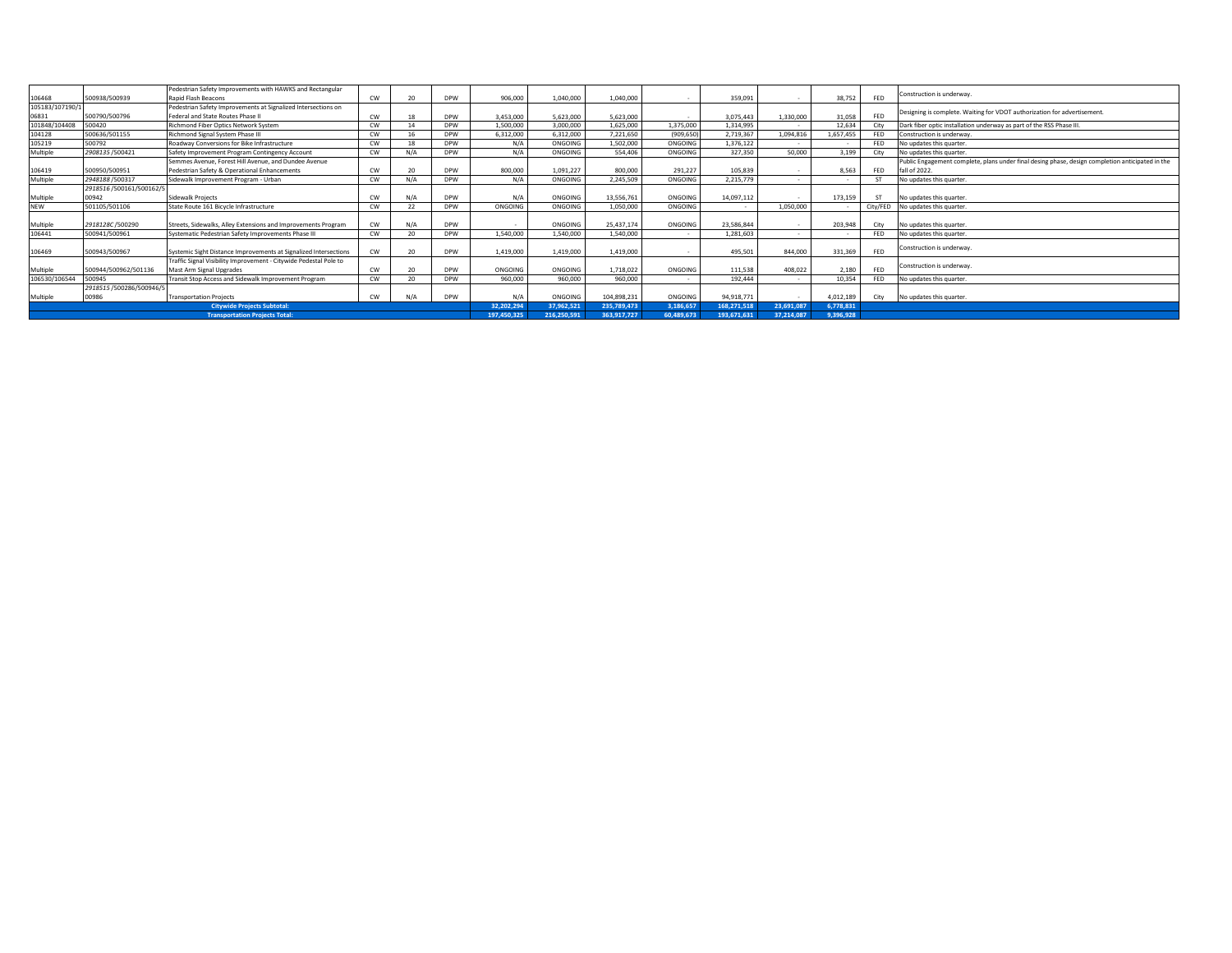| 106468          | 500938/500939                         | Pedestrian Safety Improvements with HAWKS and Rectangular<br>Rapid Flash Beacons | <b>CW</b>  | 20         | DPW         | 906,000   | 1.040.000   | 1.040.000   |            | 359.091     |            | 38.752    | <b>FED</b> | Construction is underway.                                                                        |
|-----------------|---------------------------------------|----------------------------------------------------------------------------------|------------|------------|-------------|-----------|-------------|-------------|------------|-------------|------------|-----------|------------|--------------------------------------------------------------------------------------------------|
| 105183/107190/1 |                                       | Pedestrian Safety Improvements at Signalized Intersections on                    |            |            |             |           |             |             |            |             |            |           |            | Designing is complete. Waiting for VDOT authorization for advertisement.                         |
| 06831           | 500790/500796                         | Federal and State Routes Phase II                                                | <b>CW</b>  | 18         | DPW         | 3,453,000 | 5,623,000   | 5.623.000   |            | 3,075,443   | 1,330,000  | 31,058    | <b>FED</b> |                                                                                                  |
| 101848/104408   | 500420                                | Richmond Fiber Optics Network System                                             | <b>CW</b>  | 14         | DPW         | 1,500,000 | 3,000,000   | 1,625,000   | 1,375,000  | 1,314,995   |            | 12.634    | City       | Dark fiber optic installation underway as part of the RSS Phase III.                             |
| 104128          | 500636/501155                         | Richmond Signal System Phase III                                                 | <b>CW</b>  | 16         | <b>DPW</b>  | 6,312,000 | 6,312,000   | 7,221,650   | (909, 650) | 2,719,367   | 1,094,816  | 1,657,455 | <b>FED</b> | Construction is underway.                                                                        |
| 105219          | 500792                                | Roadway Conversions for Bike Infrastructure                                      | CW         | 18         | <b>DPW</b>  | N/A       | ONGOING     | 1,502,000   | ONGOING    | 1,376,122   |            |           | FED        | No updates this quarter                                                                          |
| Multiple        | 2908135/500421                        | Safety Improvement Program Contingency Account                                   | CW         | N/A        | DPW         | N/A       | ONGOING     | 554,406     | ONGOING    | 327,350     | 50,000     | 3.199     | City       | No updates this quarter.                                                                         |
|                 |                                       | Semmes Avenue, Forest Hill Avenue, and Dundee Avenue                             |            |            |             |           |             |             |            |             |            |           |            | Public Engagement complete, plans under final desing phase, design completion anticipated in the |
| 106419          | 500950/500951                         | Pedestrian Safety & Operational Enhancements                                     | <b>CW</b>  | 20         | DPW         | 800,000   | 1.091.227   | 800,000     | 291,227    | 105.839     |            | 8,563     | FED        | fall of 2022.                                                                                    |
| Multiple        | 2948188 /500317                       | Sidewalk Improvement Program - Urban                                             | CW         | N/A        | <b>DPW</b>  | N/A       | ONGOING     | 2.245.509   | ONGOING    | 2,215,779   |            |           | ST         | No updates this quarter.                                                                         |
|                 | 2918516/500161/500162/5               |                                                                                  |            |            |             |           |             |             |            |             |            |           |            |                                                                                                  |
| Multiple        | 00942                                 | Sidewalk Projects                                                                | <b>CW</b>  | N/A        | DPW         | N/A       | ONGOING     | 13,556,761  | ONGOING    | 14,097,112  |            | 173,159   | <b>ST</b>  | No updates this quarter                                                                          |
| <b>NEW</b>      | 501105/501106                         | State Route 161 Bicycle Infrastructure                                           | CW         | 22         | DPW         | ONGOING   | ONGOING     | 1,050,000   | ONGOING    |             | 1,050,000  |           |            | City/FED No updates this quarter.                                                                |
|                 |                                       |                                                                                  |            |            |             |           |             |             |            |             |            |           |            |                                                                                                  |
| Multiple        | 2918128C /500290                      | Streets, Sidewalks, Alley Extensions and Improvements Program                    | <b>CW</b>  | N/A        | DPW         |           | ONGOING     | 25.437.174  | ONGOING    | 23,586,844  |            | 203.948   | City       | No updates this quarter                                                                          |
| 106441          | 500941/500961                         | Systematic Pedestrian Safety Improvements Phase III                              | CW         | 20         | <b>DPW</b>  | 1.540.000 | 1.540.000   | 1.540.000   |            | 1.281.603   |            |           | FED        | No updates this quarter                                                                          |
| 106469          | 500943/500967                         | Systemic Sight Distance Improvements at Signalized Intersections                 | <b>CW</b>  | 20         | DPW         | 1,419,000 | 1.419.000   | 1.419.000   |            | 495,501     | 844,000    | 331.369   | <b>FED</b> | Construction is underway.                                                                        |
|                 |                                       | Traffic Signal Visibility Improvement - Citywide Pedestal Pole to                |            |            |             |           |             |             |            |             |            |           |            |                                                                                                  |
| Multiple        | 500944/500962/501136                  | Mast Arm Signal Upgrades                                                         | <b>CW</b>  | 20         | DPW         | ONGOING   | ONGOING     | 1.718.022   | ONGOING    | 111.538     | 408.022    | 2,180     | <b>FED</b> | Construction is underway.                                                                        |
| 106530/106544   | 500945                                | Transit Stop Access and Sidewalk Improvement Program                             | <b>CW</b>  | 20         | DPW         | 960,000   | 960,000     | 960,000     |            | 192,444     | . .        | 10.354    | <b>FED</b> | No updates this quarter.                                                                         |
|                 | 2918515 /500286/500946/5              |                                                                                  |            |            |             |           |             |             |            |             |            |           |            |                                                                                                  |
| Multiple        | 00986                                 | <b>Transportation Projects</b>                                                   | <b>CW</b>  |            | <b>DPW</b>  | N/A       | ONGOING     | 104.898.231 | ONGOING    | 94,918,771  |            | 4.012.189 |            | City No updates this quarter.                                                                    |
|                 |                                       |                                                                                  | 32.202.294 | 37.962.521 | 235.789.473 | 3,186,657 | 168,271,518 | 23.691.087  | 6.778.831  |             |            |           |            |                                                                                                  |
|                 | <b>Transportation Projects Total:</b> |                                                                                  |            |            |             |           |             | 363.917.727 | 60,489,673 | 193.671.631 | 37.214.087 | 9,396,928 |            |                                                                                                  |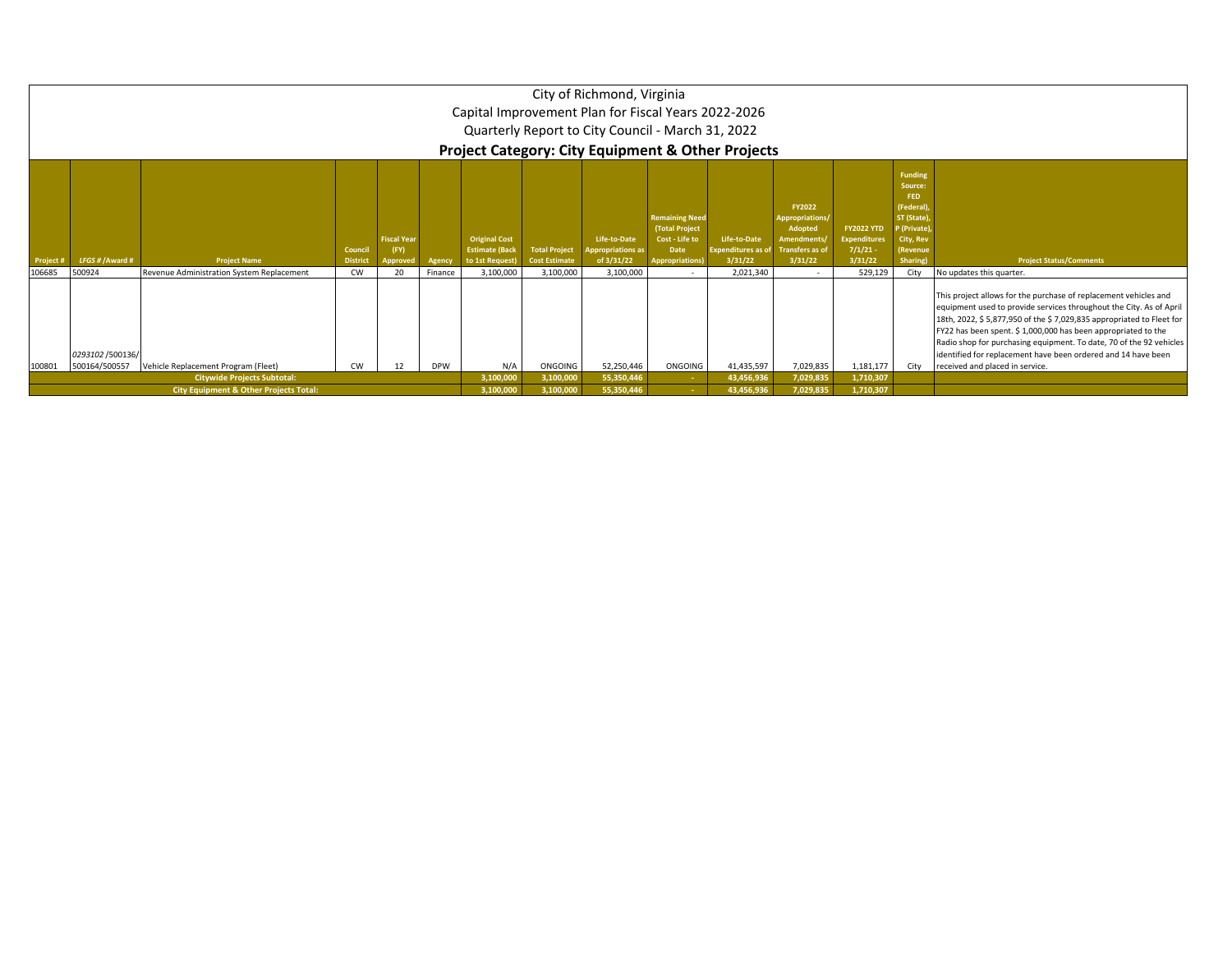|                                                                                                                     |                |                                                   |                            |                                               |         |                                                                  |                                              | City of Richmond, Virginia<br>Capital Improvement Plan for Fiscal Years 2022-2026<br>Quarterly Report to City Council - March 31, 2022<br><b>Project Category: City Equipment &amp; Other Projects</b> |                                                                                            |                                              |                                                                                                |                                                               |                                                                                                                 |                                                                                                                                                                                                                                                                                                                                                                                                                                                             |
|---------------------------------------------------------------------------------------------------------------------|----------------|---------------------------------------------------|----------------------------|-----------------------------------------------|---------|------------------------------------------------------------------|----------------------------------------------|--------------------------------------------------------------------------------------------------------------------------------------------------------------------------------------------------------|--------------------------------------------------------------------------------------------|----------------------------------------------|------------------------------------------------------------------------------------------------|---------------------------------------------------------------|-----------------------------------------------------------------------------------------------------------------|-------------------------------------------------------------------------------------------------------------------------------------------------------------------------------------------------------------------------------------------------------------------------------------------------------------------------------------------------------------------------------------------------------------------------------------------------------------|
| Project #                                                                                                           | LFGS #/Award # | <b>Project Name</b>                               | Council<br><b>District</b> | <b>Fiscal Year</b><br>(FY)<br><b>Approved</b> | Agency  | <b>Original Cost</b><br><b>Estimate (Back</b><br>to 1st Request) | <b>Total Project</b><br><b>Cost Estimate</b> | Life-to-Date<br>Appropriations as<br>of 3/31/22                                                                                                                                                        | <b>Remaining Need</b><br>(Total Project<br>Cost - Life to<br>Date<br><b>Appropriations</b> | Life-to-Date<br>xpenditures as of<br>3/31/22 | FY2022<br>Appropriations/<br>Adopted<br><b>Amendments</b><br><b>Transfers as of</b><br>3/31/22 | <b>FY2022 YTD</b><br><b>Expenditures</b><br>7/1/21<br>3/31/22 | Funding<br>Source:<br><b>FED</b><br>(Federal)<br>ST (State)<br>P (Private)<br>City, Rev<br>(Revenue<br>Sharing) | <b>Project Status/Comments</b>                                                                                                                                                                                                                                                                                                                                                                                                                              |
| 106685                                                                                                              | 500924         | Revenue Administration System Replacement         | CW                         | 20                                            | Finance | 3,100,000                                                        | 3,100,000                                    | 3,100,000                                                                                                                                                                                              |                                                                                            | 2,021,340                                    | $\sim$                                                                                         | 529,129                                                       | City                                                                                                            | No updates this quarter.                                                                                                                                                                                                                                                                                                                                                                                                                                    |
| 0293102 /500136/<br>Vehicle Replacement Program (Fleet)<br><b>DPW</b><br>500164/500557<br><b>CW</b><br>12<br>100801 |                |                                                   |                            |                                               |         |                                                                  | ONGOING                                      | 52,250,446                                                                                                                                                                                             | ONGOING                                                                                    | 41,435,597                                   | 7,029,835                                                                                      | 1,181,177                                                     | City                                                                                                            | This project allows for the purchase of replacement vehicles and<br>equipment used to provide services throughout the City. As of April<br>18th, 2022, \$5,877,950 of the \$7,029,835 appropriated to Fleet for<br>FY22 has been spent. \$1,000,000 has been appropriated to the<br>Radio shop for purchasing equipment. To date, 70 of the 92 vehicles<br>identified for replacement have been ordered and 14 have been<br>received and placed in service. |
|                                                                                                                     |                | <b>Citywide Projects Subtotal:</b>                |                            |                                               |         | 3,100,000                                                        | 3,100,000                                    | 55,350,446                                                                                                                                                                                             |                                                                                            | 43,456,936                                   | 7,029,835                                                                                      | 1,710,307                                                     |                                                                                                                 |                                                                                                                                                                                                                                                                                                                                                                                                                                                             |
|                                                                                                                     |                | <b>City Equipment &amp; Other Projects Total:</b> |                            |                                               |         | 3,100,000                                                        | 3,100,000                                    | 55,350,446                                                                                                                                                                                             |                                                                                            | 43,456,936                                   | 7,029,835                                                                                      | 1,710,307                                                     |                                                                                                                 |                                                                                                                                                                                                                                                                                                                                                                                                                                                             |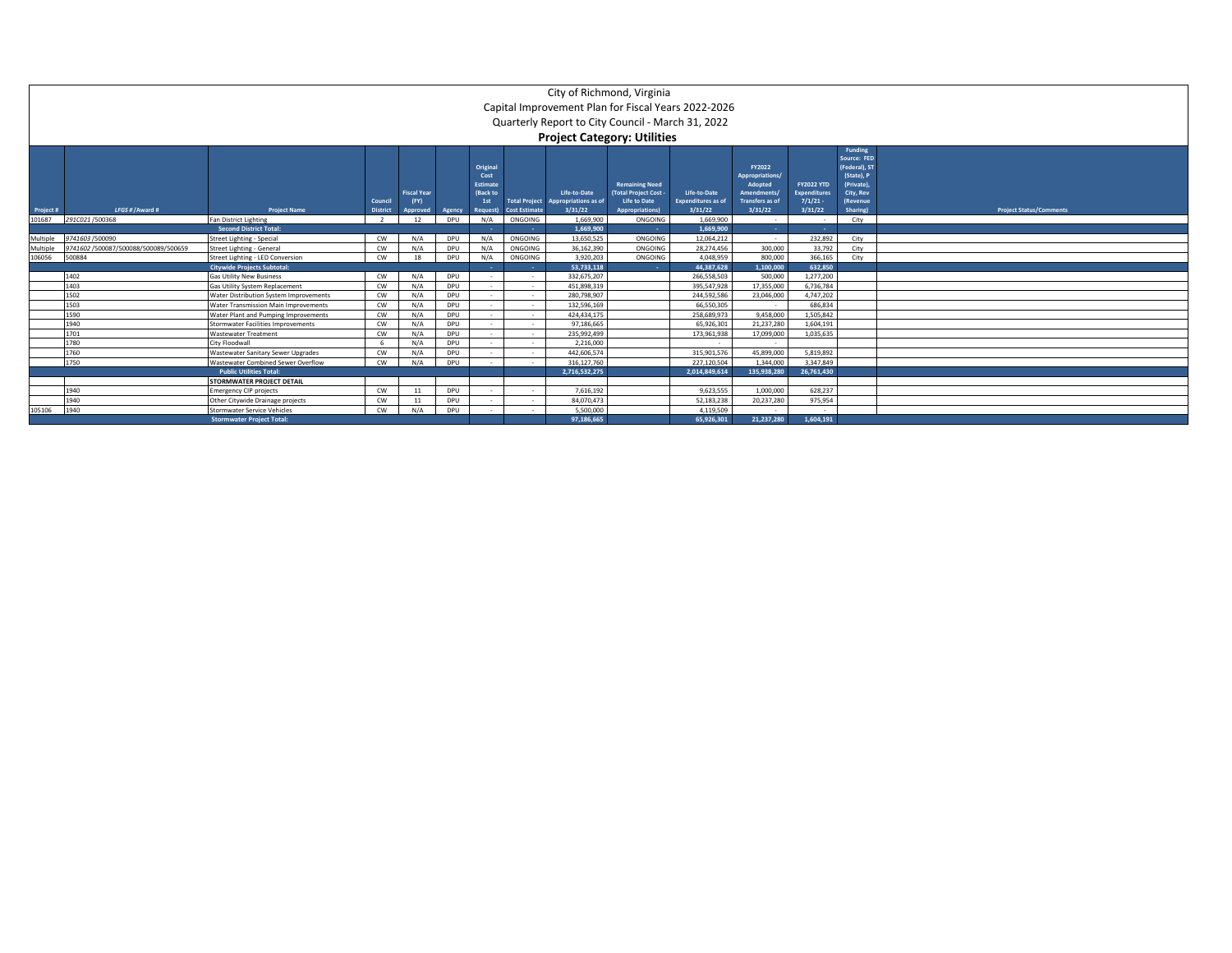|                                |                                      |                                        |                           |                                       |               |                                                                     |                                              | City of Richmond, Virginia<br>Capital Improvement Plan for Fiscal Years 2022-2026<br>Quarterly Report to City Council - March 31, 2022<br><b>Project Category: Utilities</b> |                                                                                              |                                                      |                                                                                          |                                                               |                                                                                                          |                                |
|--------------------------------|--------------------------------------|----------------------------------------|---------------------------|---------------------------------------|---------------|---------------------------------------------------------------------|----------------------------------------------|------------------------------------------------------------------------------------------------------------------------------------------------------------------------------|----------------------------------------------------------------------------------------------|------------------------------------------------------|------------------------------------------------------------------------------------------|---------------------------------------------------------------|----------------------------------------------------------------------------------------------------------|--------------------------------|
| Project #                      | LFGS # / Award #                     | <b>Project Name</b>                    | Counci<br><b>District</b> | <b>Fiscal Year</b><br>(FY)<br>pproved | <b>Agency</b> | Original<br>Cost<br>Estimate<br>(Back to<br>1st<br><b>Request</b> ) | <b>Total Project</b><br><b>Cost Estimate</b> | Life-to-Date<br>Appropriations as of<br>3/31/22                                                                                                                              | <b>Remaining Need</b><br>(Total Project Cost<br><b>Life to Date</b><br><b>Appropriations</b> | Life-to-Date<br><b>Expenditures as of</b><br>3/31/22 | FY2022<br><b>Appropriations/</b><br>Adopted<br>Amendments/<br>Transfers as of<br>3/31/22 | <b>FY2022 YTD</b><br><b>Expenditures</b><br>7/1/21<br>3/31/22 | Funding<br>Source: FED<br>(Federal), ST<br>(State), P<br>(Private).<br>City, Rev<br>(Revenue<br>Sharing) | <b>Project Status/Comments</b> |
| 101687                         | 291C021/500368                       | <b>Fan District Lighting</b>           | $\overline{\phantom{a}}$  | 12                                    | DPU           | N/A                                                                 | ONGOING                                      | 1.669.900                                                                                                                                                                    | ONGOING                                                                                      | 1.669.900                                            |                                                                                          |                                                               | City                                                                                                     |                                |
|                                |                                      | <b>Second District Total:</b>          |                           |                                       |               |                                                                     |                                              | 1.669.900                                                                                                                                                                    | . .                                                                                          | 1.669.900                                            | <b>COLL</b>                                                                              | <b>COLL</b>                                                   |                                                                                                          |                                |
| Multiple                       | 9741603 /500090                      | Street Lighting - Special              | CW                        | N/A                                   | DPU           | N/A                                                                 | ONGOING                                      | 13.650.525                                                                                                                                                                   | ONGOING                                                                                      | 12.064.212                                           | $\sim$                                                                                   | 232,892                                                       | City                                                                                                     |                                |
| Multiple                       | 9741602 /500087/500088/500089/500659 | <b>Street Lighting - General</b>       | CW                        | N/A                                   | DPU           | N/A                                                                 | ONGOING                                      | 36,162,390                                                                                                                                                                   | ONGOING                                                                                      | 28,274,456                                           | 300,000                                                                                  | 33,792                                                        | City                                                                                                     |                                |
| 106056                         | 500884                               | Street Lighting - LED Conversion       | CW                        | 18                                    | DPU           | N/A                                                                 | ONGOING                                      | 3.920.203                                                                                                                                                                    | ONGOING                                                                                      | 4,048,959                                            | 800,000                                                                                  | 366.165                                                       | City                                                                                                     |                                |
|                                |                                      | <b>Citywide Projects Subtotal:</b>     |                           |                                       |               |                                                                     |                                              | 53.733.118                                                                                                                                                                   |                                                                                              | 44.387.628                                           | 1.100.000                                                                                | 632.850                                                       |                                                                                                          |                                |
|                                | 1402                                 | <b>Gas Utility New Business</b>        | <b>CW</b>                 | N/A                                   | DPU           |                                                                     | - 1                                          | 332.675.207                                                                                                                                                                  |                                                                                              | 266.558.503                                          | 500,000                                                                                  | 1.277.200                                                     |                                                                                                          |                                |
|                                | 1403                                 | Gas Utility System Replacement         | CW                        | N/A                                   | DPU           |                                                                     | $\sim$                                       | 451.898.319                                                                                                                                                                  |                                                                                              | 395.547.928                                          | 17,355,000                                                                               | 6.736.784                                                     |                                                                                                          |                                |
|                                | 1502                                 | Water Distribution System Improvements | <b>CW</b>                 | N/A                                   | DPU           |                                                                     | $\sim$                                       | 280.798.907                                                                                                                                                                  |                                                                                              | 244.592.586                                          | 23,046,000                                                                               | 4.747.202                                                     |                                                                                                          |                                |
|                                | 1503                                 | Water Transmission Main Improvements   | CW                        | N/A                                   | DPU           |                                                                     |                                              | 132,596,169                                                                                                                                                                  |                                                                                              | 66,550,305                                           |                                                                                          | 686.834                                                       |                                                                                                          |                                |
|                                | 1590                                 | Water Plant and Pumping Improvements   | <b>CW</b>                 | N/A                                   | DPU           |                                                                     | $\sim$                                       | 424.434.175                                                                                                                                                                  |                                                                                              | 258.689.973                                          | 9.458.000                                                                                | 1.505.842                                                     |                                                                                                          |                                |
|                                | 1940                                 | Stormwater Facilities Improvements     | CW                        | N/A                                   | DPU           | <b>1999</b>                                                         | $\sim$                                       | 97.186.665                                                                                                                                                                   |                                                                                              | 65.926.301                                           | 21,237,280                                                                               | 1.604.191                                                     |                                                                                                          |                                |
|                                | 1701                                 | <b>Wastewater Treatment</b>            | CW                        | N/A                                   | DPU           |                                                                     | $\sim$                                       | 235.992.499                                                                                                                                                                  |                                                                                              | 173.961.938                                          | 17,099,000                                                                               | 1,035,635                                                     |                                                                                                          |                                |
|                                | 1780                                 | City Floodwall                         |                           | N/A                                   | DPU           |                                                                     | - 1                                          | 2.216.000                                                                                                                                                                    |                                                                                              |                                                      | $\sim$                                                                                   |                                                               |                                                                                                          |                                |
|                                | 1760                                 | Wastewater Sanitary Sewer Upgrades     | CW                        | N/A                                   | DPU           | $\sim$                                                              | - 1                                          | 442.606.574                                                                                                                                                                  |                                                                                              | 315.901.576                                          | 45.899.000                                                                               | 5.819.892                                                     |                                                                                                          |                                |
|                                | 1750                                 | Wastewater Combined Sewer Overflow     | CW                        | N/A                                   | DPU           |                                                                     | $\sim$                                       | 316.127.760                                                                                                                                                                  |                                                                                              | 227.120.504                                          | 1.344.000                                                                                | 3.347.849                                                     |                                                                                                          |                                |
| <b>Public Utilities Total:</b> |                                      |                                        |                           |                                       |               |                                                                     |                                              | 2.716.532.275                                                                                                                                                                |                                                                                              | 2.014.849.614                                        | 135.938.280                                                                              | 26,761,430                                                    |                                                                                                          |                                |
|                                |                                      | STORMWATER PROJECT DETAIL              |                           |                                       |               |                                                                     |                                              |                                                                                                                                                                              |                                                                                              |                                                      |                                                                                          |                                                               |                                                                                                          |                                |
|                                | 1940                                 | <b>Emergency CIP projects</b>          | <b>CW</b>                 | 11                                    | DPU           |                                                                     | $\sim$                                       | 7.616.192                                                                                                                                                                    |                                                                                              | 9.623.555                                            | 1.000.000                                                                                | 628.237                                                       |                                                                                                          |                                |
|                                | 1940                                 | Other Citywide Drainage projects       | <b>CW</b>                 | 11                                    | DPU           |                                                                     | $\sim$                                       | 84.070.473                                                                                                                                                                   |                                                                                              | 52.183.238                                           | 20.237.280                                                                               | 975.954                                                       |                                                                                                          |                                |
| 105106                         | 1940                                 | Stormwater Service Vehicles            | <b>CW</b>                 | N/A                                   | DPU           |                                                                     |                                              | 5.500.000                                                                                                                                                                    |                                                                                              | 4,119,509                                            |                                                                                          |                                                               |                                                                                                          |                                |
|                                |                                      | <b>Stormwater Project Total:</b>       |                           |                                       |               |                                                                     |                                              | 97,186,665                                                                                                                                                                   |                                                                                              | 65,926,301                                           | 21,237,280                                                                               | 1,604,191                                                     |                                                                                                          |                                |